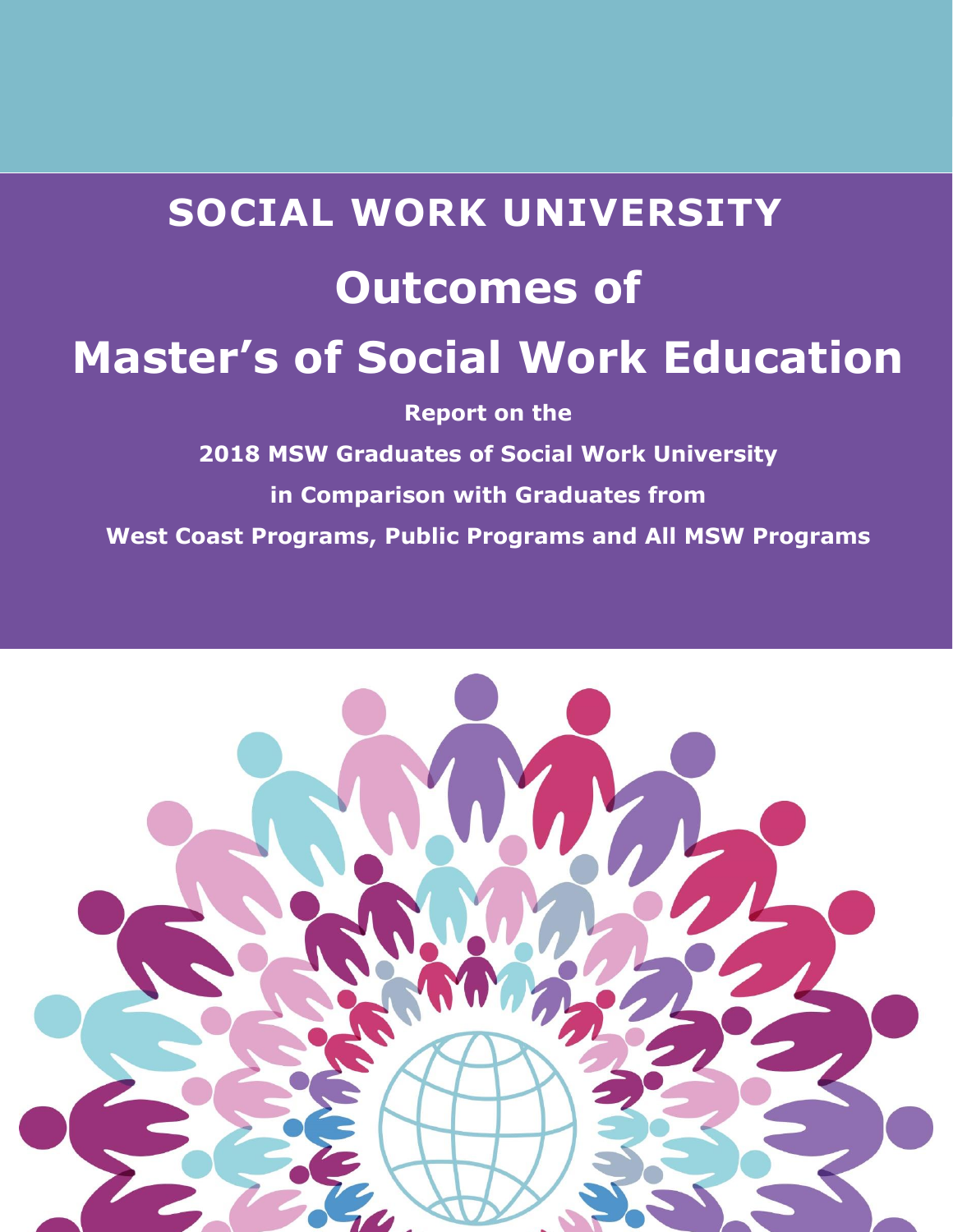

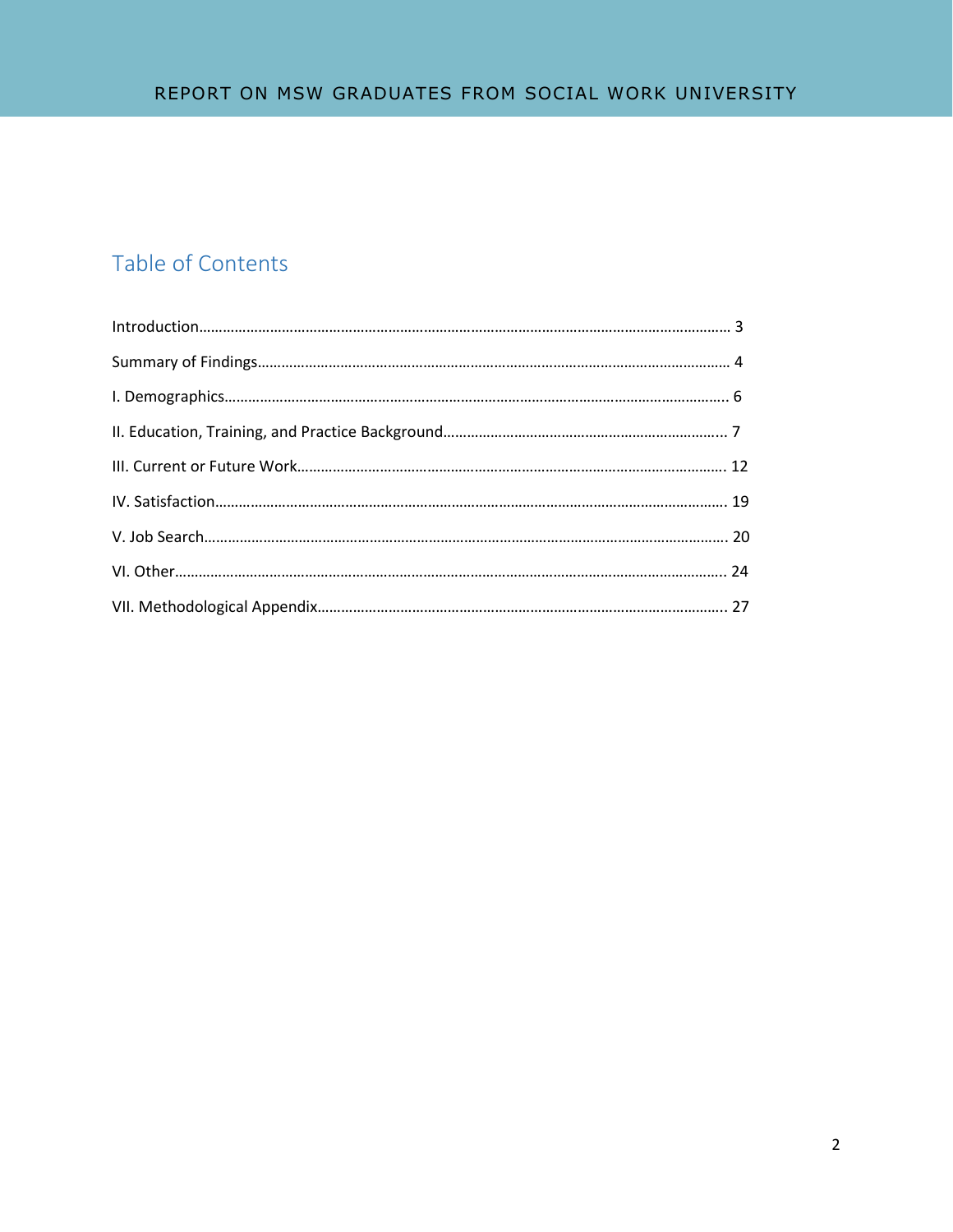# Table of Contents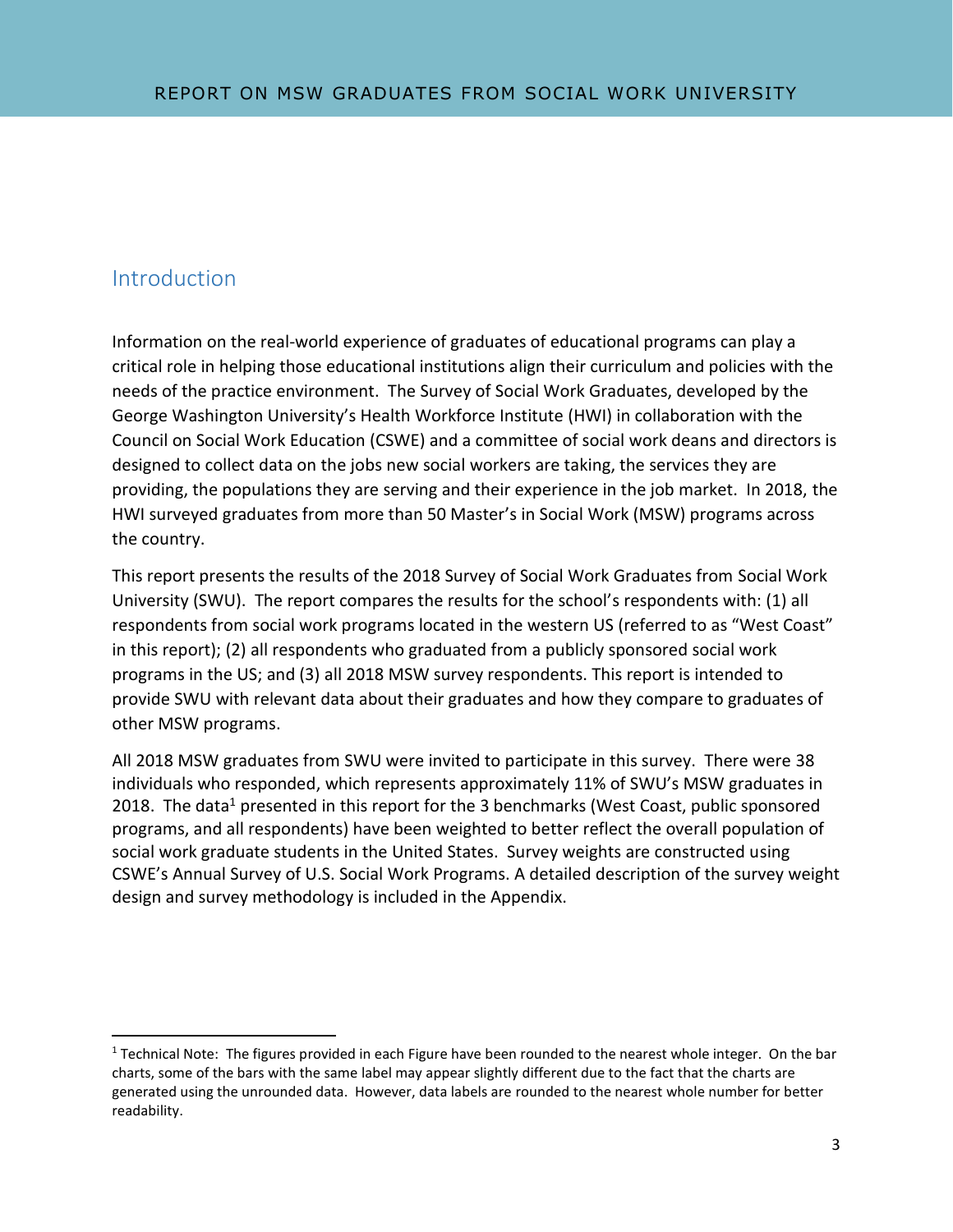### Introduction

l

Information on the real-world experience of graduates of educational programs can play a critical role in helping those educational institutions align their curriculum and policies with the needs of the practice environment. The Survey of Social Work Graduates, developed by the George Washington University's Health Workforce Institute (HWI) in collaboration with the Council on Social Work Education (CSWE) and a committee of social work deans and directors is designed to collect data on the jobs new social workers are taking, the services they are providing, the populations they are serving and their experience in the job market. In 2018, the HWI surveyed graduates from more than 50 Master's in Social Work (MSW) programs across the country.

This report presents the results of the 2018 Survey of Social Work Graduates from Social Work University (SWU). The report compares the results for the school's respondents with: (1) all respondents from social work programs located in the western US (referred to as "West Coast" in this report); (2) all respondents who graduated from a publicly sponsored social work programs in the US; and (3) all 2018 MSW survey respondents. This report is intended to provide SWU with relevant data about their graduates and how they compare to graduates of other MSW programs.

All 2018 MSW graduates from SWU were invited to participate in this survey. There were 38 individuals who responded, which represents approximately 11% of SWU's MSW graduates in 2018. The data<sup>1</sup> presented in this report for the 3 benchmarks (West Coast, public sponsored programs, and all respondents) have been weighted to better reflect the overall population of social work graduate students in the United States. Survey weights are constructed using CSWE's Annual Survey of U.S. Social Work Programs. A detailed description of the survey weight design and survey methodology is included in the Appendix.

 $1$  Technical Note: The figures provided in each Figure have been rounded to the nearest whole integer. On the bar charts, some of the bars with the same label may appear slightly different due to the fact that the charts are generated using the unrounded data. However, data labels are rounded to the nearest whole number for better readability.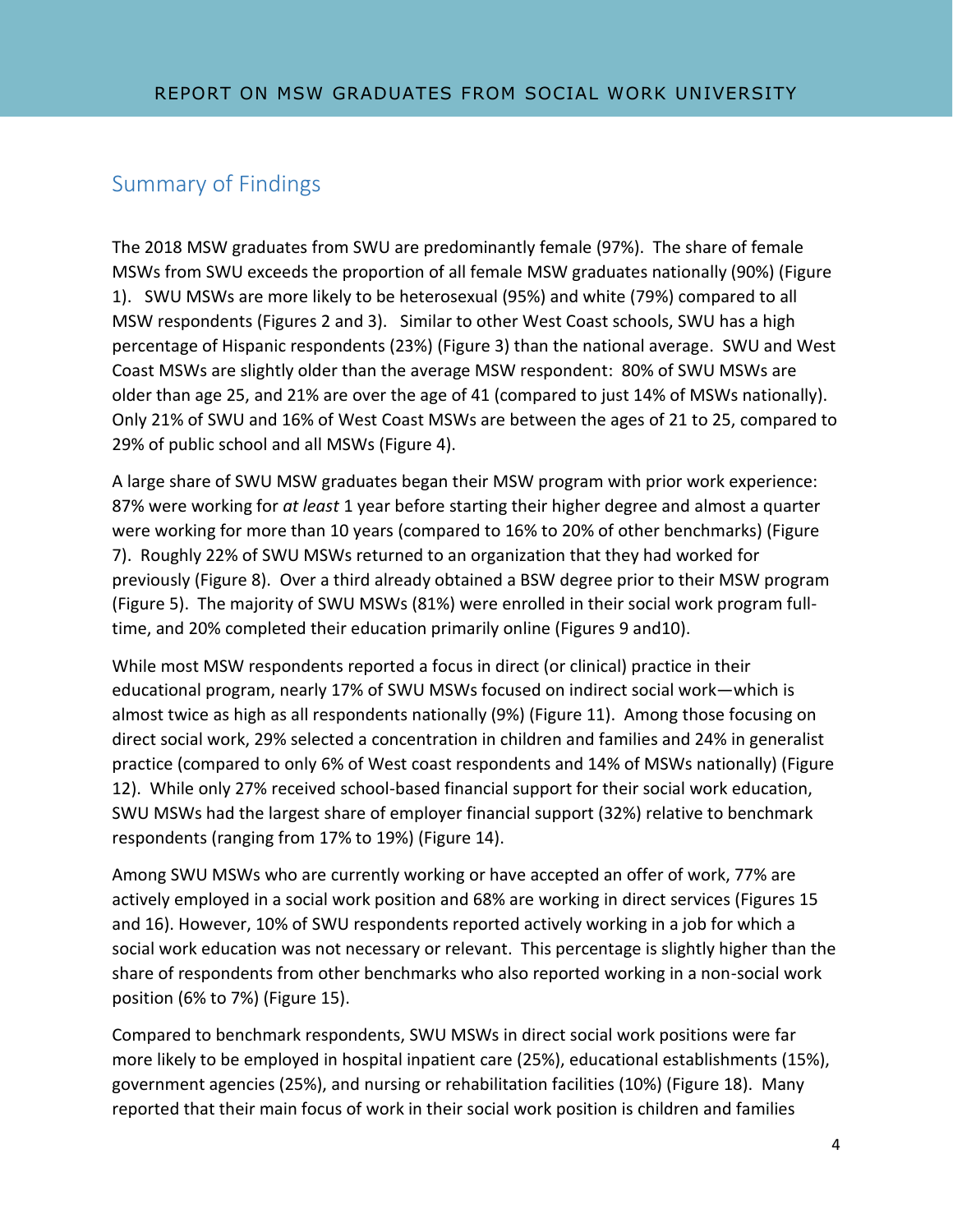## Summary of Findings

The 2018 MSW graduates from SWU are predominantly female (97%). The share of female MSWs from SWU exceeds the proportion of all female MSW graduates nationally (90%) (Figure 1). SWU MSWs are more likely to be heterosexual (95%) and white (79%) compared to all MSW respondents (Figures 2 and 3). Similar to other West Coast schools, SWU has a high percentage of Hispanic respondents (23%) (Figure 3) than the national average. SWU and West Coast MSWs are slightly older than the average MSW respondent: 80% of SWU MSWs are older than age 25, and 21% are over the age of 41 (compared to just 14% of MSWs nationally). Only 21% of SWU and 16% of West Coast MSWs are between the ages of 21 to 25, compared to 29% of public school and all MSWs (Figure 4).

A large share of SWU MSW graduates began their MSW program with prior work experience: 87% were working for *at least* 1 year before starting their higher degree and almost a quarter were working for more than 10 years (compared to 16% to 20% of other benchmarks) (Figure 7). Roughly 22% of SWU MSWs returned to an organization that they had worked for previously (Figure 8). Over a third already obtained a BSW degree prior to their MSW program (Figure 5). The majority of SWU MSWs (81%) were enrolled in their social work program fulltime, and 20% completed their education primarily online (Figures 9 and10).

While most MSW respondents reported a focus in direct (or clinical) practice in their educational program, nearly 17% of SWU MSWs focused on indirect social work—which is almost twice as high as all respondents nationally (9%) (Figure 11). Among those focusing on direct social work, 29% selected a concentration in children and families and 24% in generalist practice (compared to only 6% of West coast respondents and 14% of MSWs nationally) (Figure 12). While only 27% received school-based financial support for their social work education, SWU MSWs had the largest share of employer financial support (32%) relative to benchmark respondents (ranging from 17% to 19%) (Figure 14).

Among SWU MSWs who are currently working or have accepted an offer of work, 77% are actively employed in a social work position and 68% are working in direct services (Figures 15 and 16). However, 10% of SWU respondents reported actively working in a job for which a social work education was not necessary or relevant. This percentage is slightly higher than the share of respondents from other benchmarks who also reported working in a non-social work position (6% to 7%) (Figure 15).

Compared to benchmark respondents, SWU MSWs in direct social work positions were far more likely to be employed in hospital inpatient care (25%), educational establishments (15%), government agencies (25%), and nursing or rehabilitation facilities (10%) (Figure 18). Many reported that their main focus of work in their social work position is children and families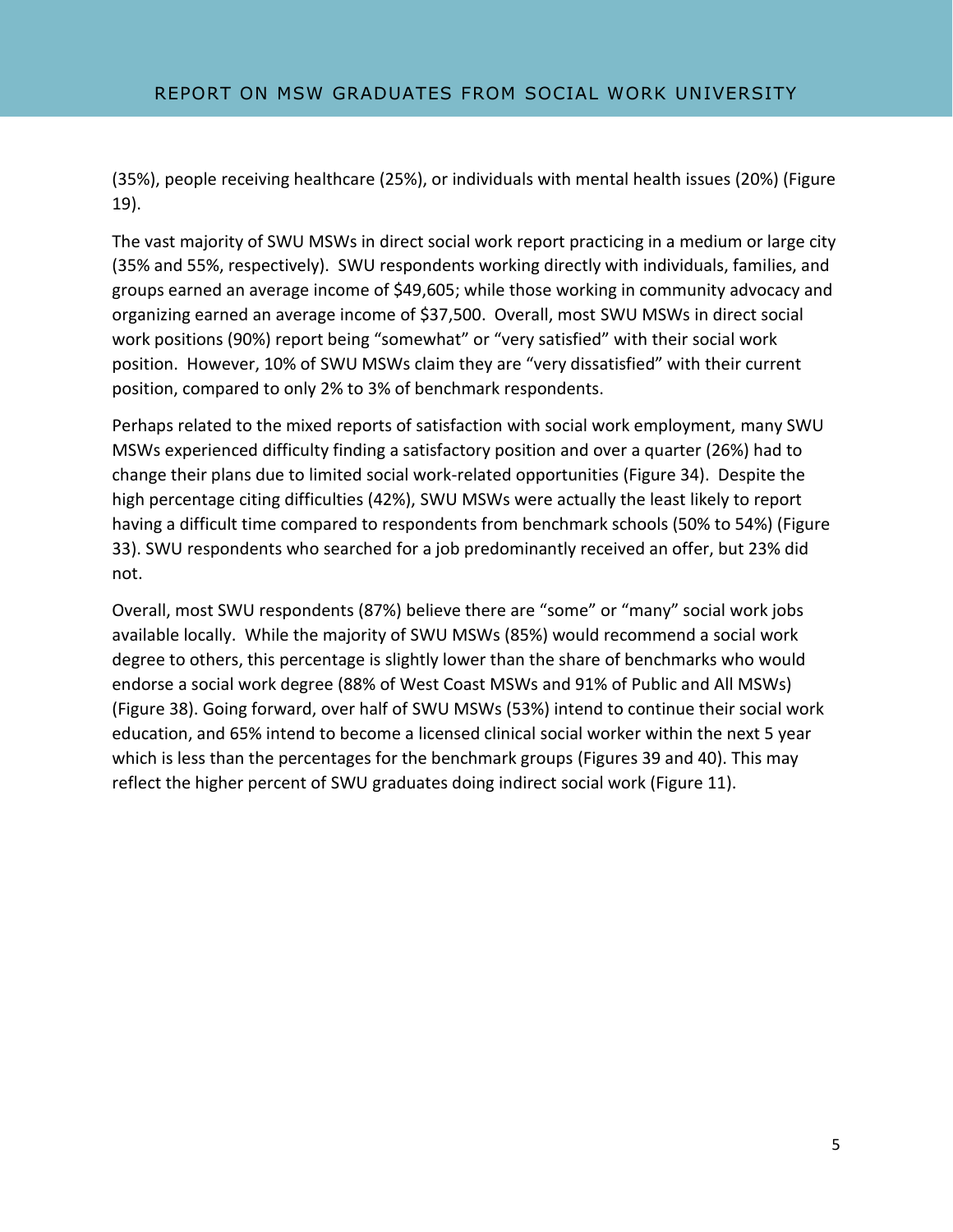(35%), people receiving healthcare (25%), or individuals with mental health issues (20%) (Figure 19).

The vast majority of SWU MSWs in direct social work report practicing in a medium or large city (35% and 55%, respectively). SWU respondents working directly with individuals, families, and groups earned an average income of \$49,605; while those working in community advocacy and organizing earned an average income of \$37,500. Overall, most SWU MSWs in direct social work positions (90%) report being "somewhat" or "very satisfied" with their social work position. However, 10% of SWU MSWs claim they are "very dissatisfied" with their current position, compared to only 2% to 3% of benchmark respondents.

Perhaps related to the mixed reports of satisfaction with social work employment, many SWU MSWs experienced difficulty finding a satisfactory position and over a quarter (26%) had to change their plans due to limited social work-related opportunities (Figure 34). Despite the high percentage citing difficulties (42%), SWU MSWs were actually the least likely to report having a difficult time compared to respondents from benchmark schools (50% to 54%) (Figure 33). SWU respondents who searched for a job predominantly received an offer, but 23% did not.

Overall, most SWU respondents (87%) believe there are "some" or "many" social work jobs available locally. While the majority of SWU MSWs (85%) would recommend a social work degree to others, this percentage is slightly lower than the share of benchmarks who would endorse a social work degree (88% of West Coast MSWs and 91% of Public and All MSWs) (Figure 38). Going forward, over half of SWU MSWs (53%) intend to continue their social work education, and 65% intend to become a licensed clinical social worker within the next 5 year which is less than the percentages for the benchmark groups (Figures 39 and 40). This may reflect the higher percent of SWU graduates doing indirect social work (Figure 11).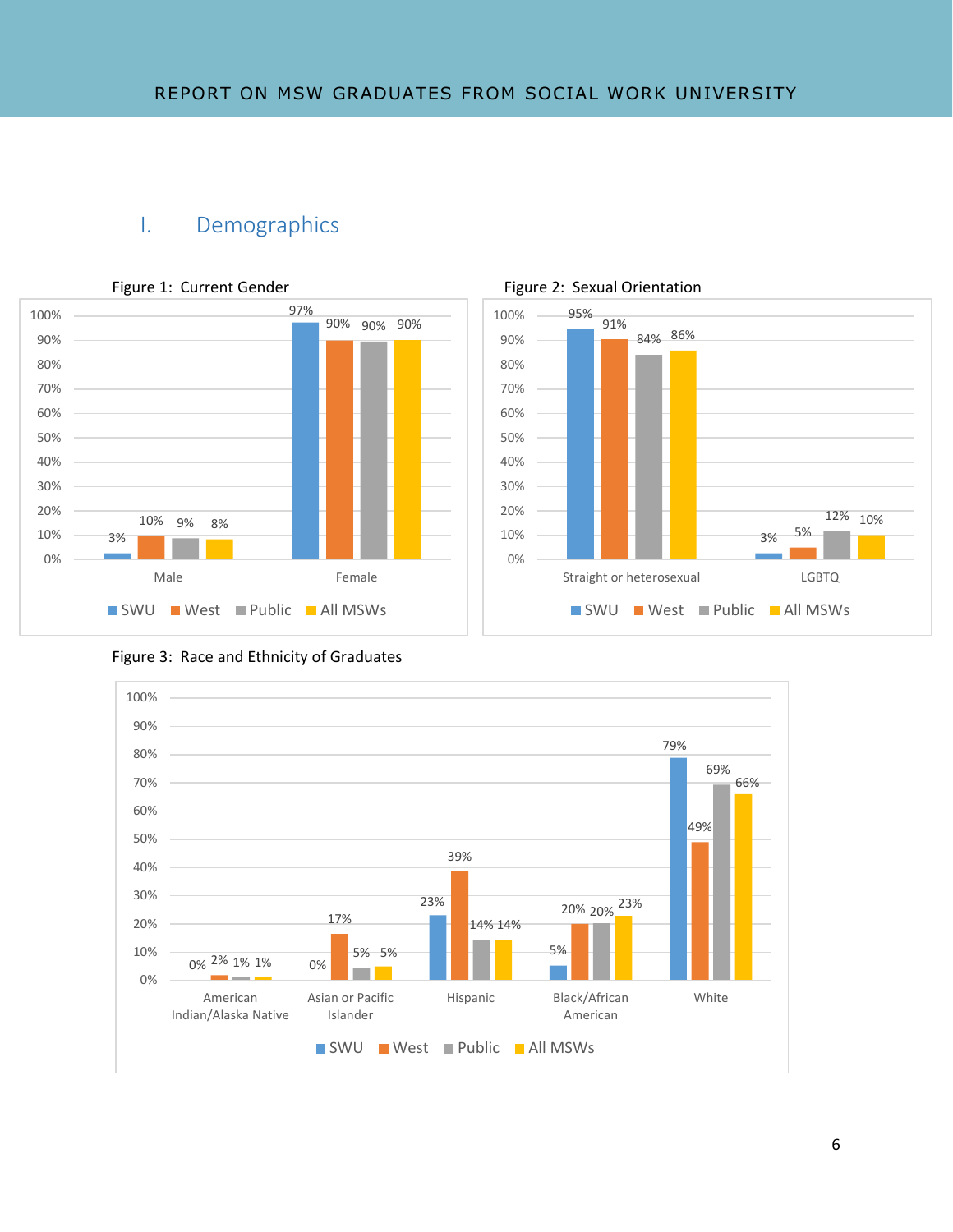## I. Demographics







Figure 3: Race and Ethnicity of Graduates

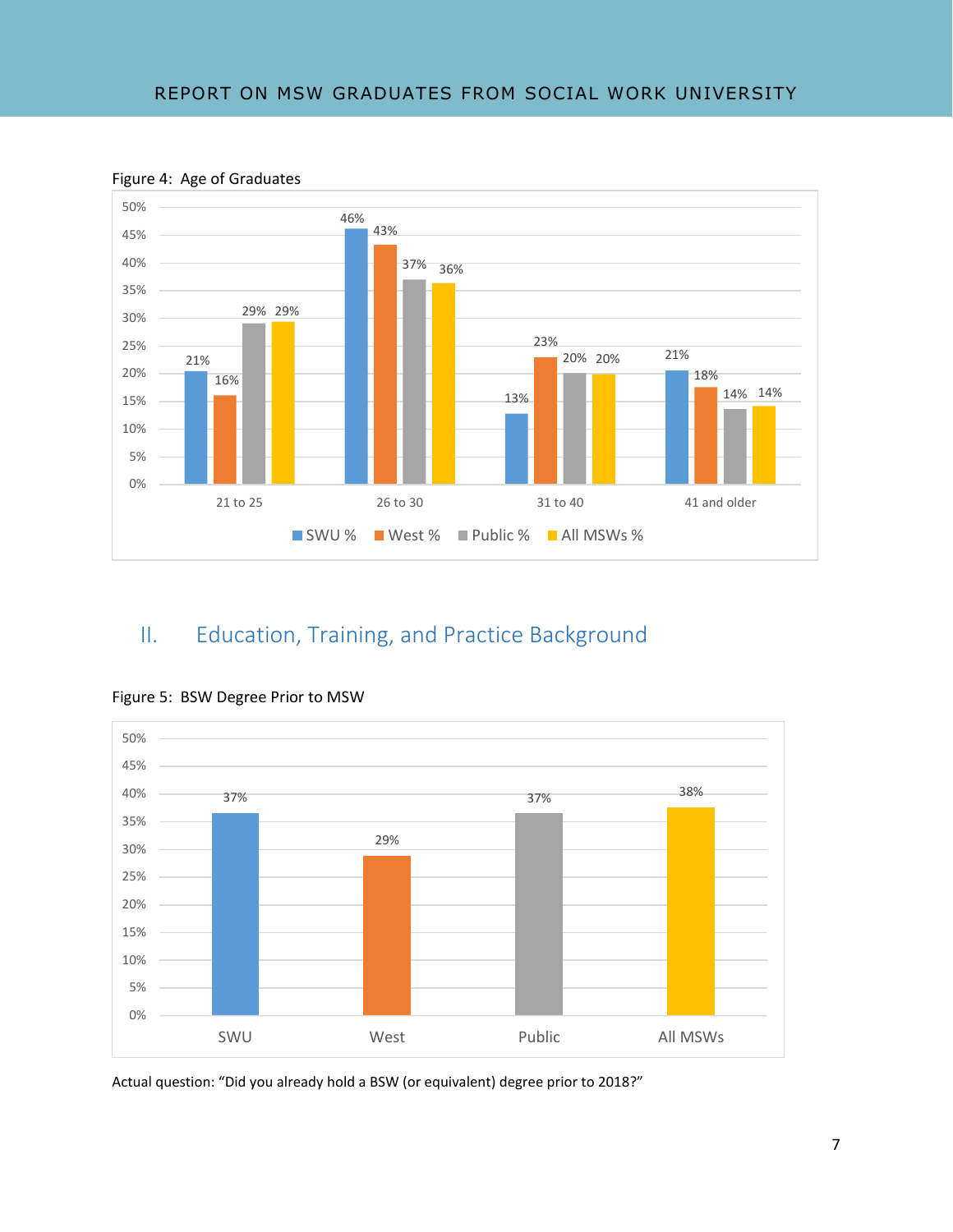

Figure 4: Age of Graduates

# II. Education, Training, and Practice Background



Figure 5: BSW Degree Prior to MSW

Actual question: "Did you already hold a BSW (or equivalent) degree prior to 2018?"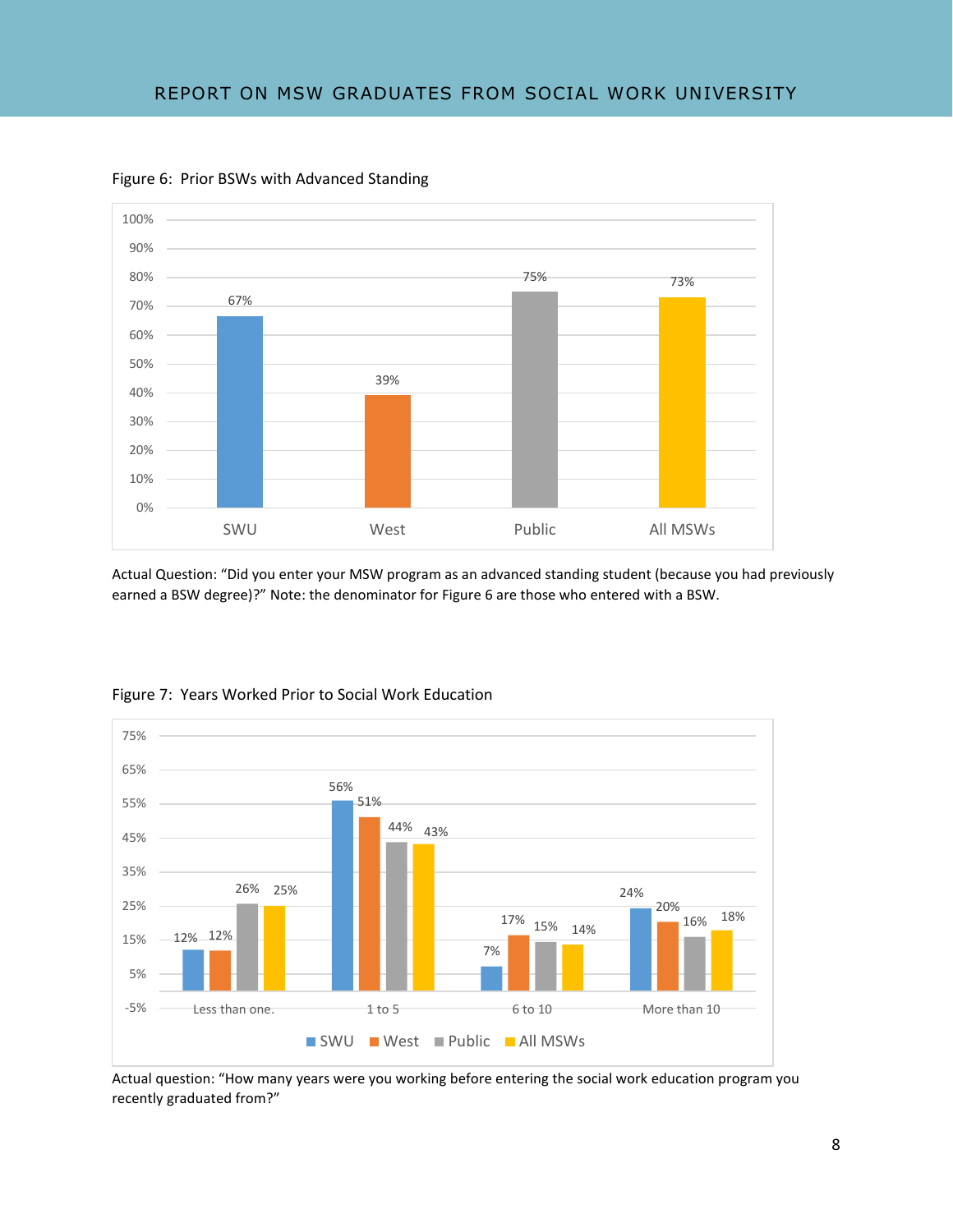

Figure 6: Prior BSWs with Advanced Standing

Actual Question: "Did you enter your MSW program as an advanced standing student (because you had previously earned a BSW degree)?" Note: the denominator for Figure 6 are those who entered with a BSW.



#### Figure 7: Years Worked Prior to Social Work Education

Actual question: "How many years were you working before entering the social work education program you recently graduated from?"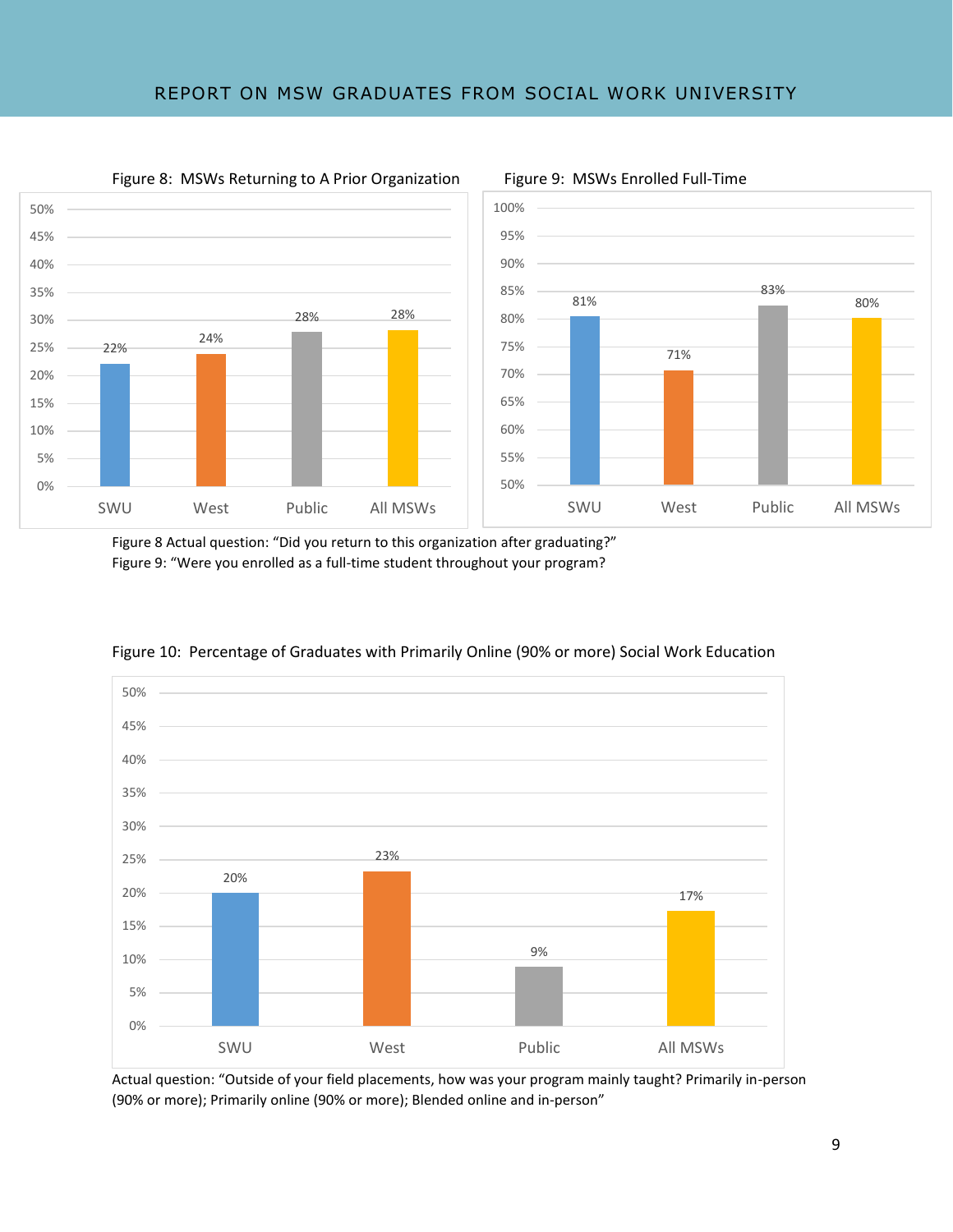### REPORT ON MSW GRADUATES FROM SOCIAL WORK UNIVERSITY





Figure 8 Actual question: "Did you return to this organization after graduating?" Figure 9: "Were you enrolled as a full-time student throughout your program?



Figure 10: Percentage of Graduates with Primarily Online (90% or more) Social Work Education

Actual question: "Outside of your field placements, how was your program mainly taught? Primarily in-person (90% or more); Primarily online (90% or more); Blended online and in-person"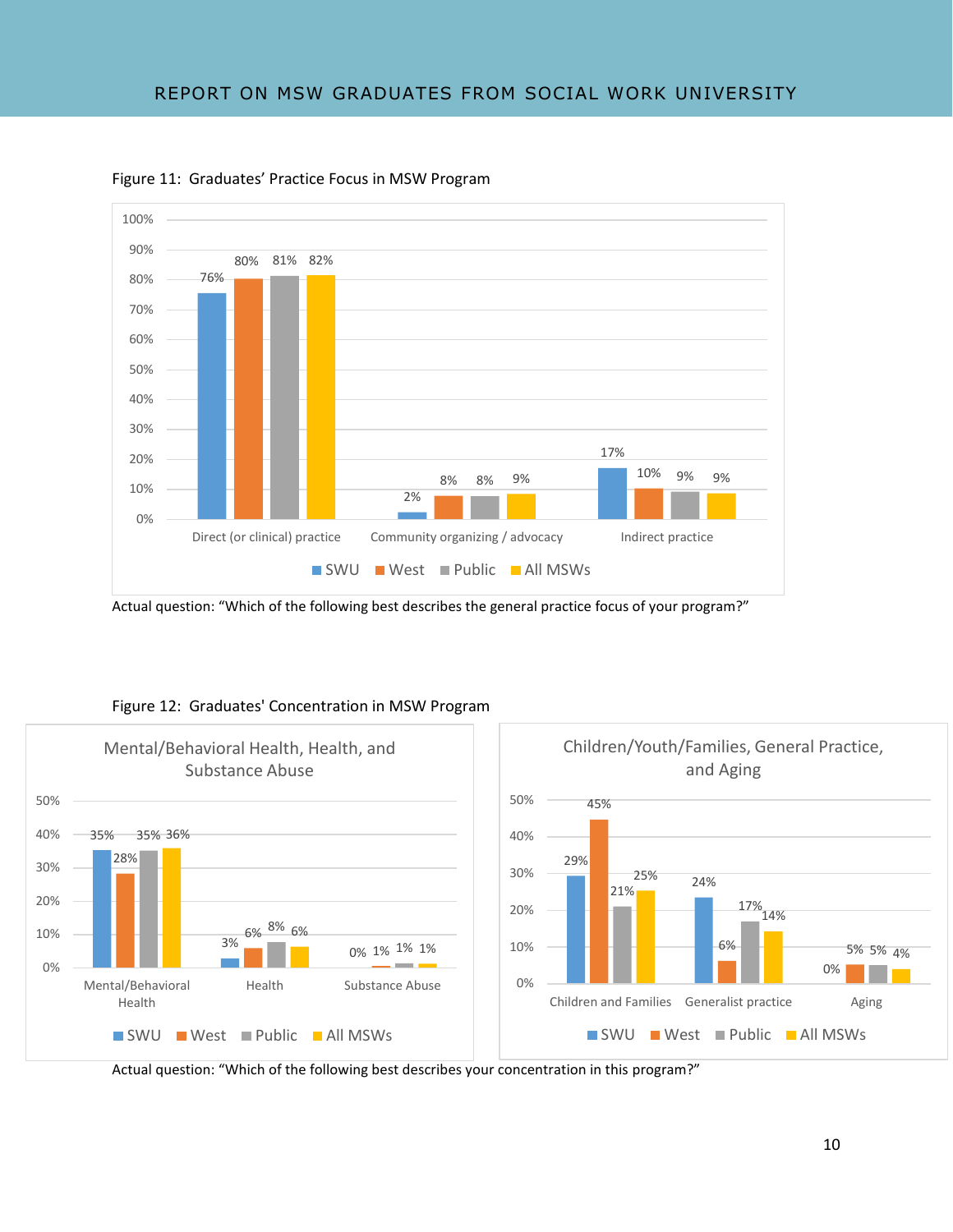



Actual question: "Which of the following best describes the general practice focus of your program?"



### Figure 12: Graduates' Concentration in MSW Program

Actual question: "Which of the following best describes your concentration in this program?"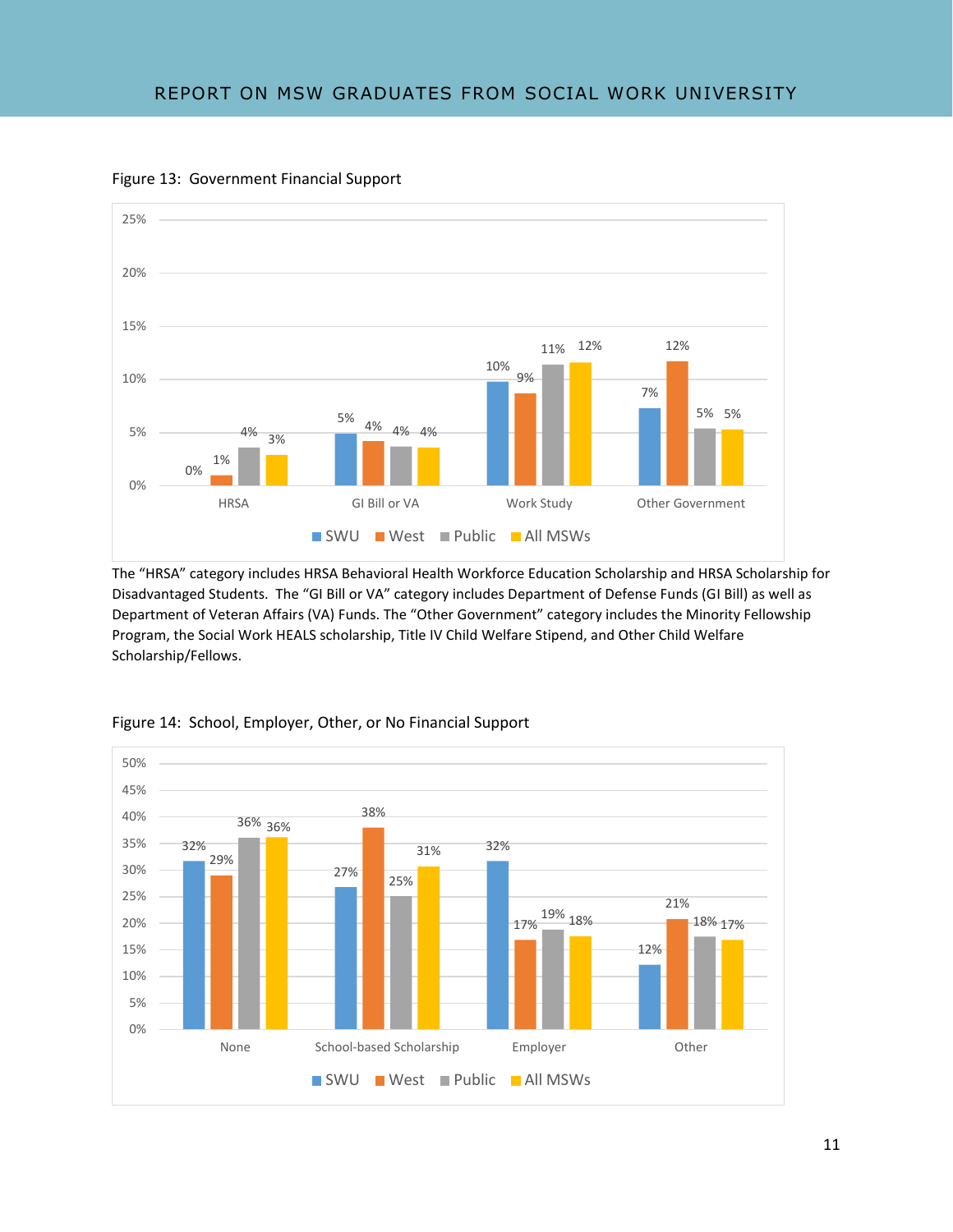

Figure 13: Government Financial Support

The "HRSA" category includes HRSA Behavioral Health Workforce Education Scholarship and HRSA Scholarship for Disadvantaged Students. The "GI Bill or VA" category includes Department of Defense Funds (GI Bill) as well as Department of Veteran Affairs (VA) Funds. The "Other Government" category includes the Minority Fellowship Program, the Social Work HEALS scholarship, Title IV Child Welfare Stipend, and Other Child Welfare Scholarship/Fellows.



Figure 14: School, Employer, Other, or No Financial Support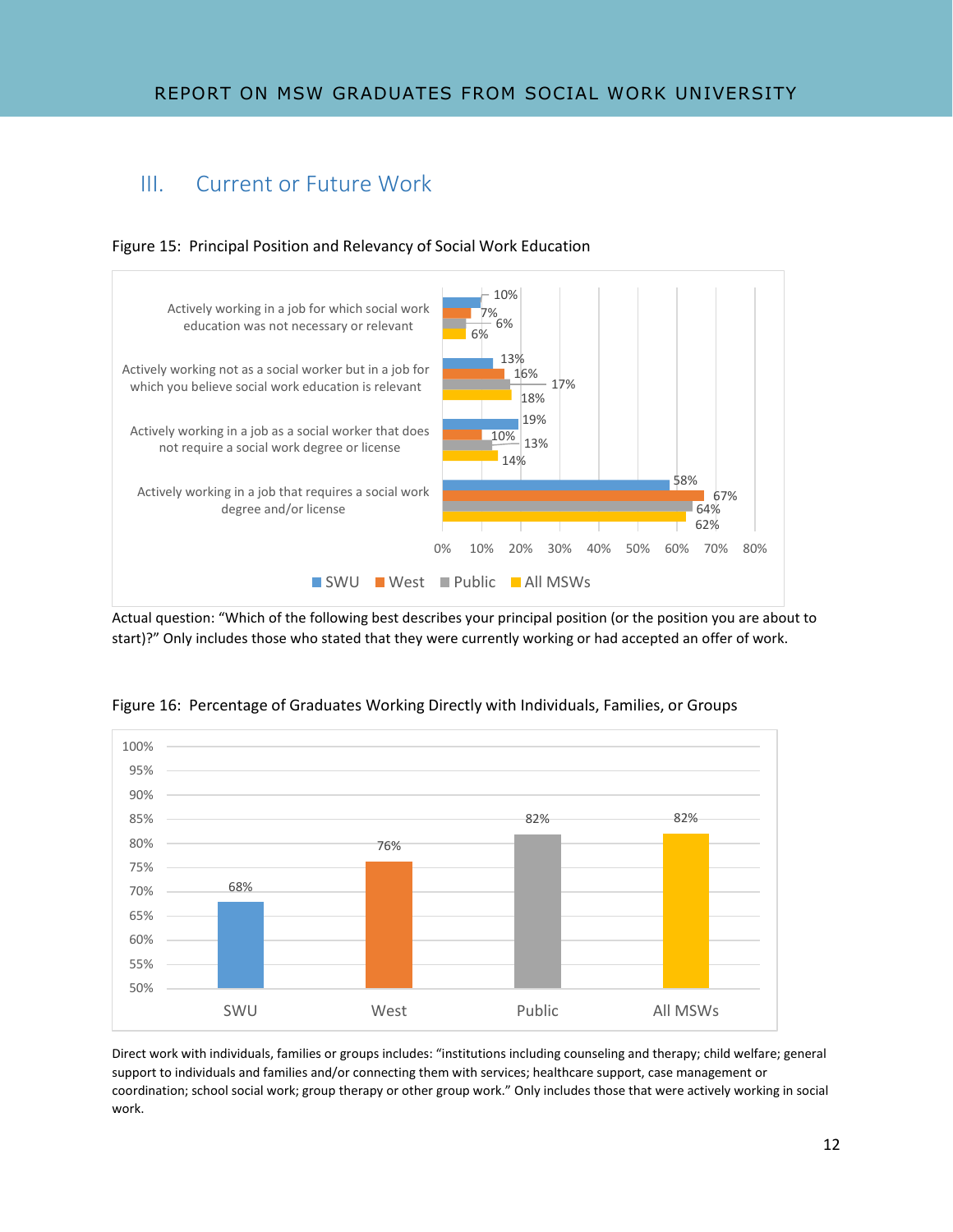# III. Current or Future Work





Actual question: "Which of the following best describes your principal position (or the position you are about to start)?" Only includes those who stated that they were currently working or had accepted an offer of work.



Figure 16: Percentage of Graduates Working Directly with Individuals, Families, or Groups

Direct work with individuals, families or groups includes: "institutions including counseling and therapy; child welfare; general support to individuals and families and/or connecting them with services; healthcare support, case management or coordination; school social work; group therapy or other group work." Only includes those that were actively working in social work.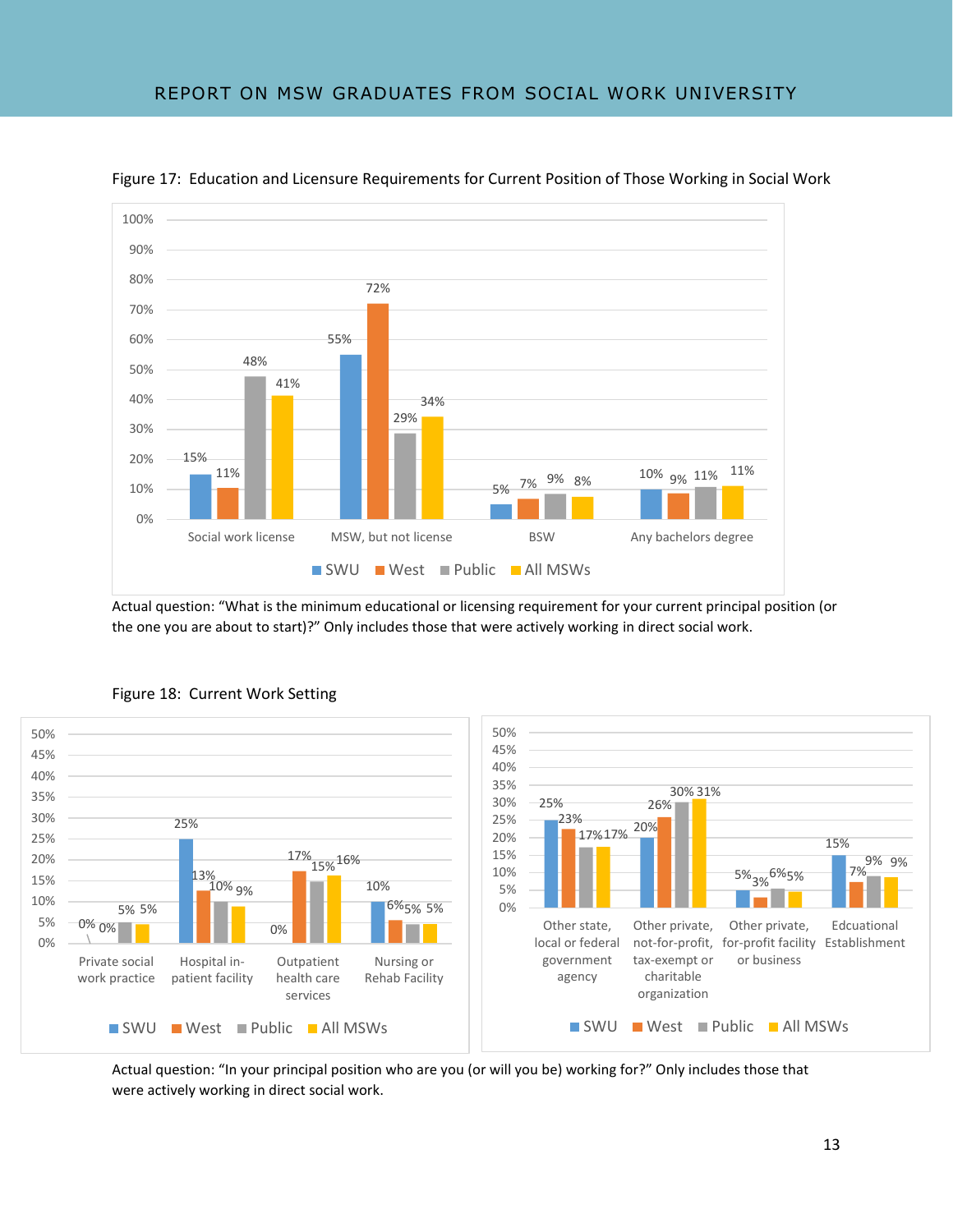

Figure 17: Education and Licensure Requirements for Current Position of Those Working in Social Work

Actual question: "What is the minimum educational or licensing requirement for your current principal position (or the one you are about to start)?" Only includes those that were actively working in direct social work.



Figure 18: Current Work Setting

Actual question: "In your principal position who are you (or will you be) working for?" Only includes those that were actively working in direct social work.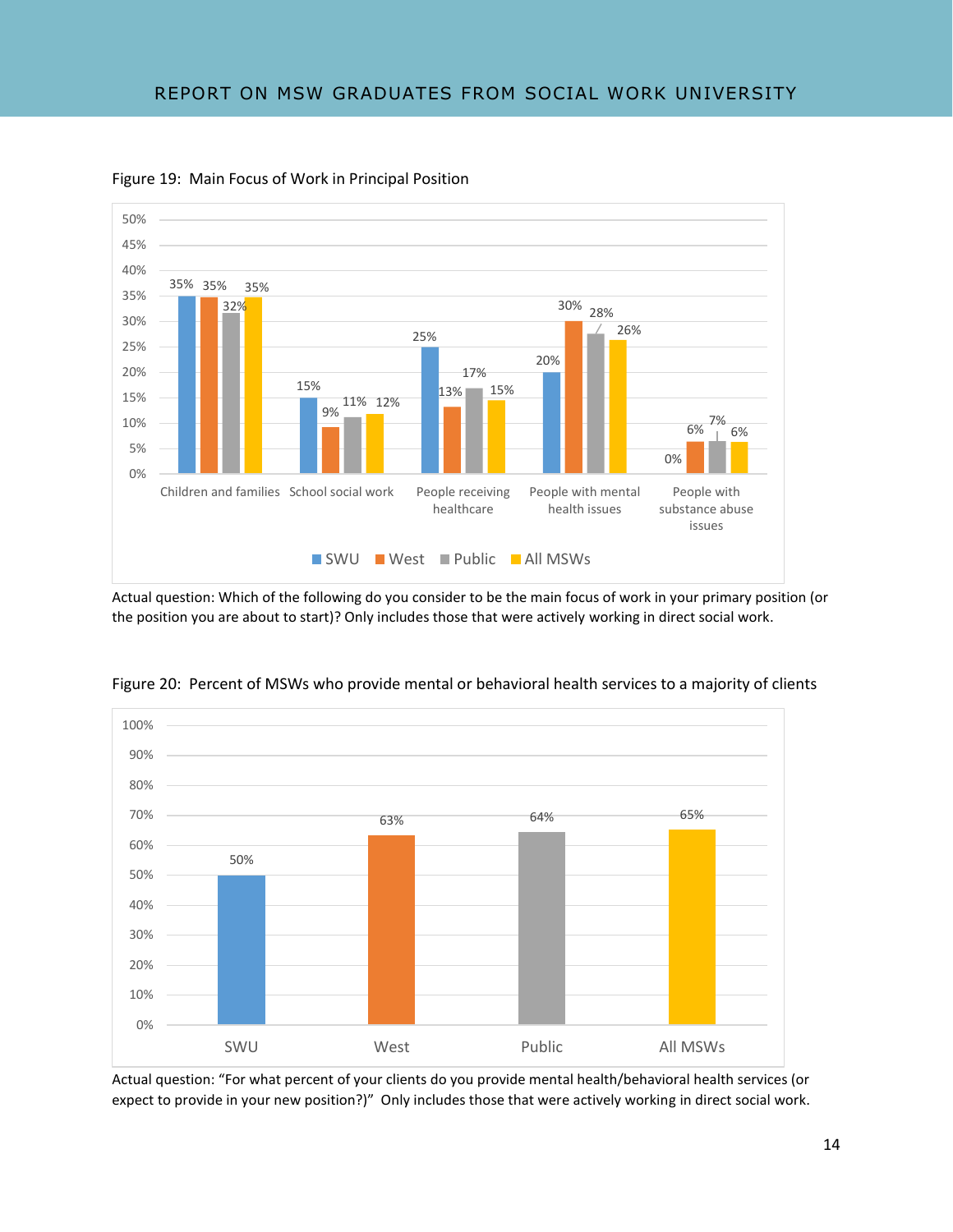

Figure 19: Main Focus of Work in Principal Position

Actual question: Which of the following do you consider to be the main focus of work in your primary position (or the position you are about to start)? Only includes those that were actively working in direct social work.



Figure 20: Percent of MSWs who provide mental or behavioral health services to a majority of clients

Actual question: "For what percent of your clients do you provide mental health/behavioral health services (or expect to provide in your new position?)" Only includes those that were actively working in direct social work.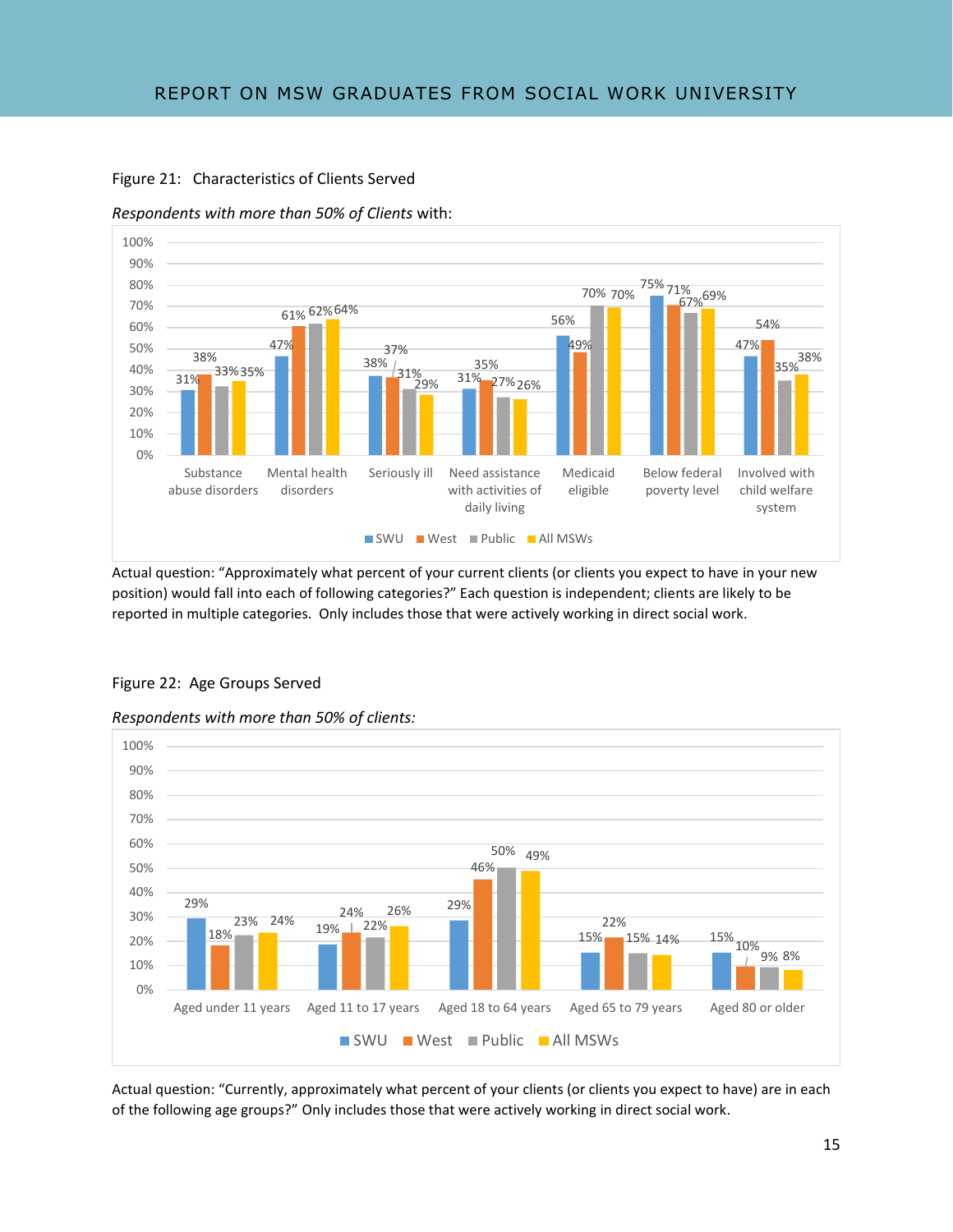

Figure 21: Characteristics of Clients Served

*Respondents with more than 50% of Clients* with:

Actual question: "Approximately what percent of your current clients (or clients you expect to have in your new position) would fall into each of following categories?" Each question is independent; clients are likely to be reported in multiple categories. Only includes those that were actively working in direct social work.



#### Figure 22: Age Groups Served

*Respondents with more than 50% of clients:*

Actual question: "Currently, approximately what percent of your clients (or clients you expect to have) are in each of the following age groups?" Only includes those that were actively working in direct social work.

9% 8%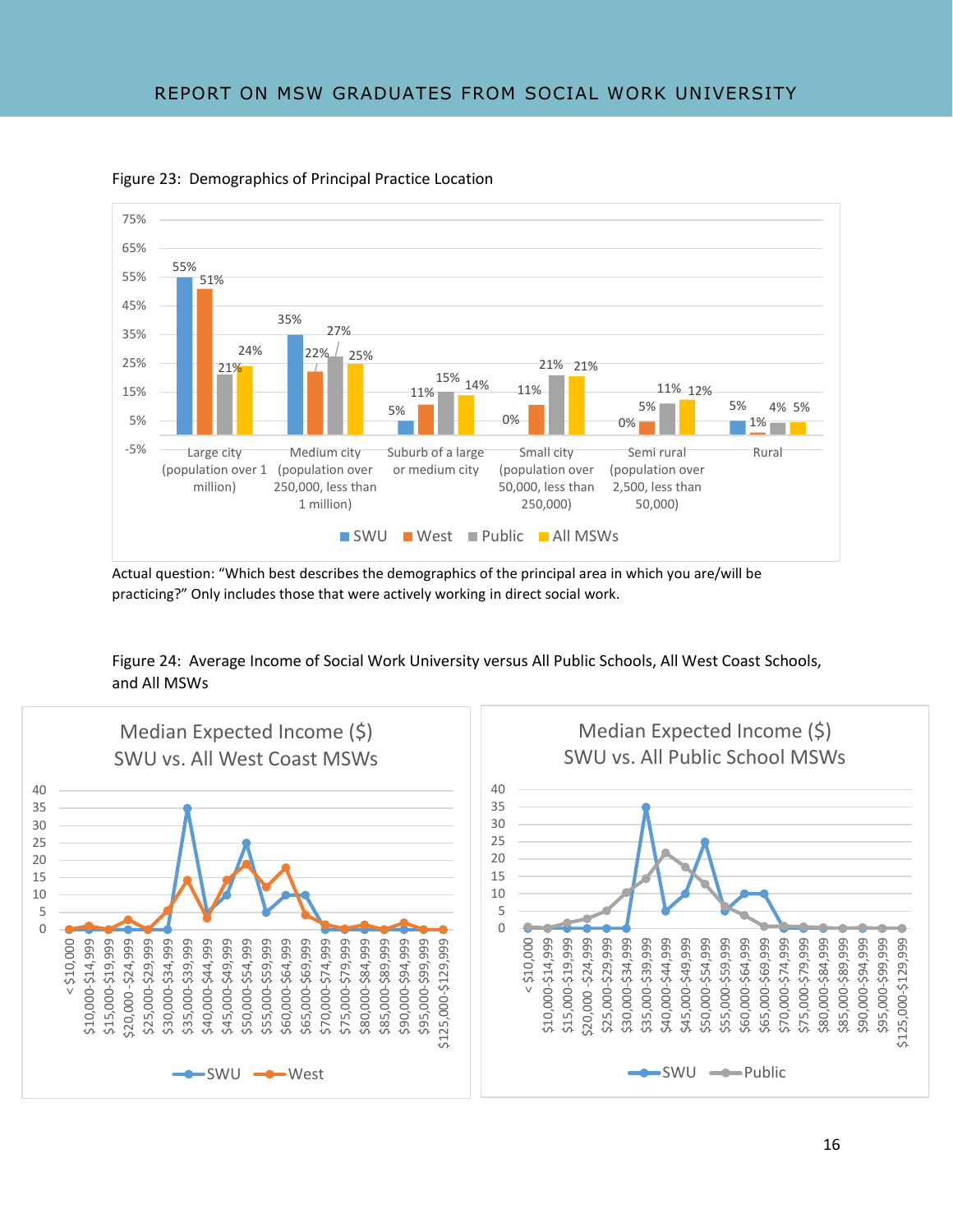

Figure 23: Demographics of Principal Practice Location

Actual question: "Which best describes the demographics of the principal area in which you are/will be practicing?" Only includes those that were actively working in direct social work.

Figure 24: Average Income of Social Work University versus All Public Schools, All West Coast Schools, and All MSWs

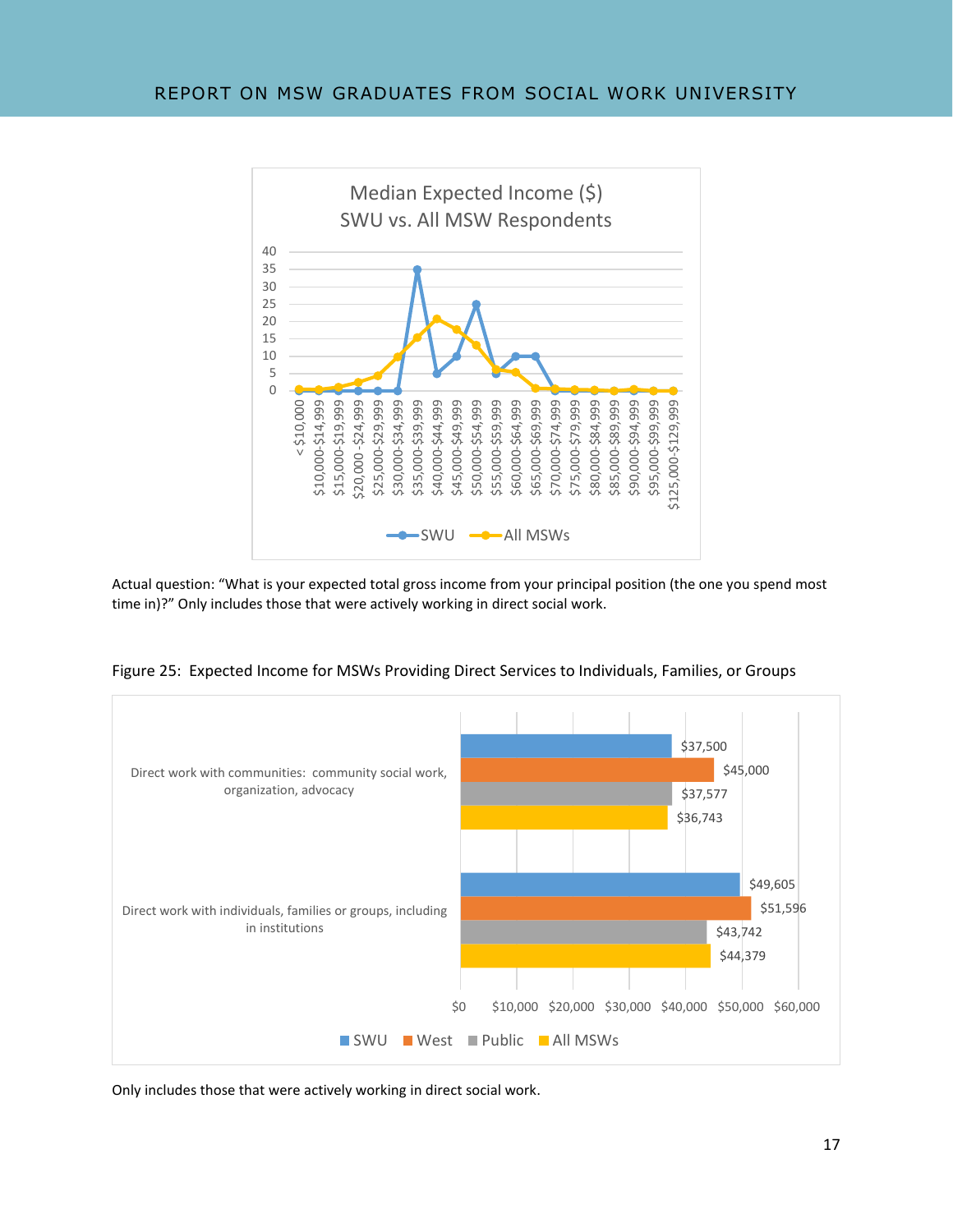

Actual question: "What is your expected total gross income from your principal position (the one you spend most time in)?" Only includes those that were actively working in direct social work.



Figure 25: Expected Income for MSWs Providing Direct Services to Individuals, Families, or Groups

Only includes those that were actively working in direct social work.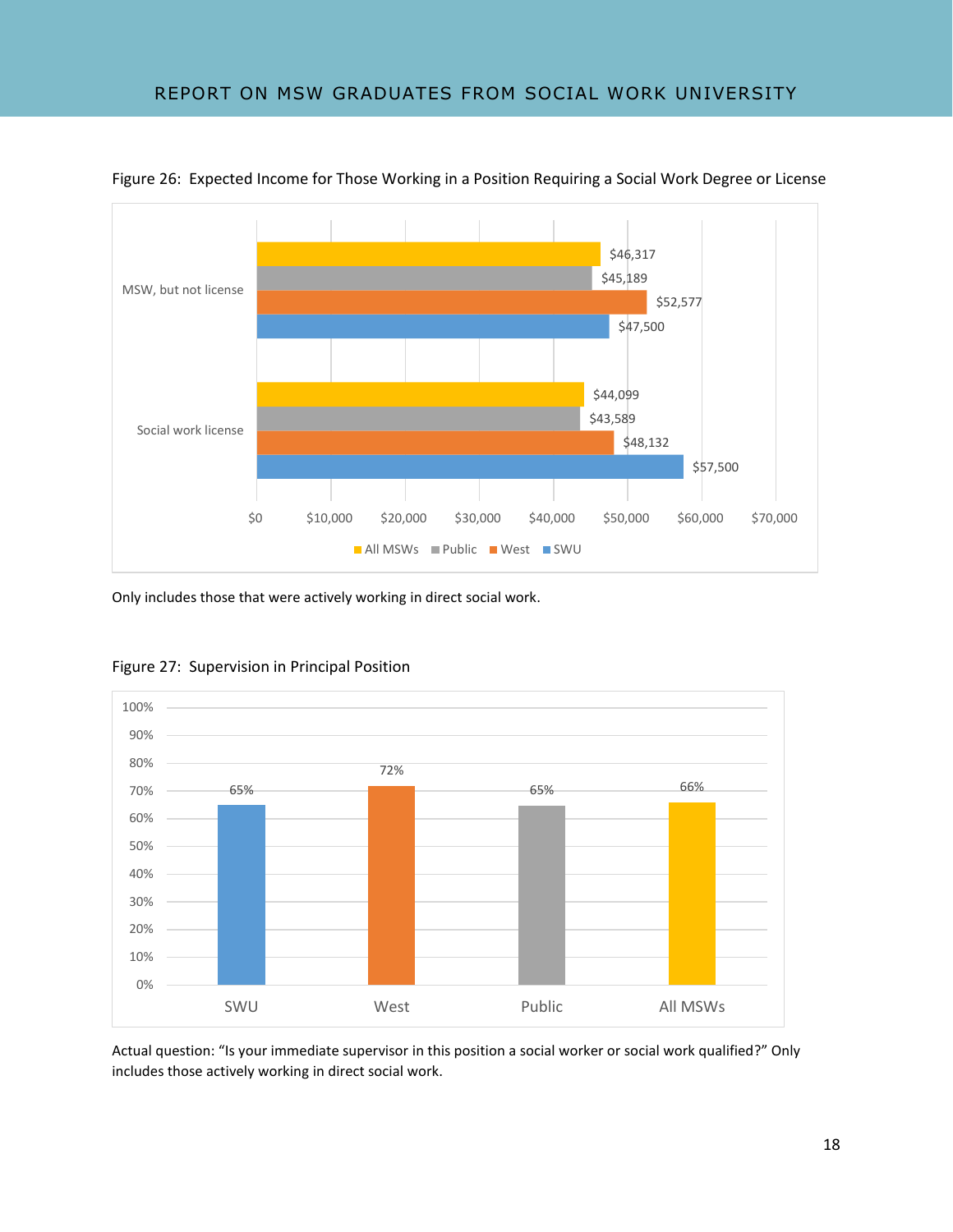

Figure 26: Expected Income for Those Working in a Position Requiring a Social Work Degree or License

Only includes those that were actively working in direct social work.



Figure 27: Supervision in Principal Position

Actual question: "Is your immediate supervisor in this position a social worker or social work qualified?" Only includes those actively working in direct social work.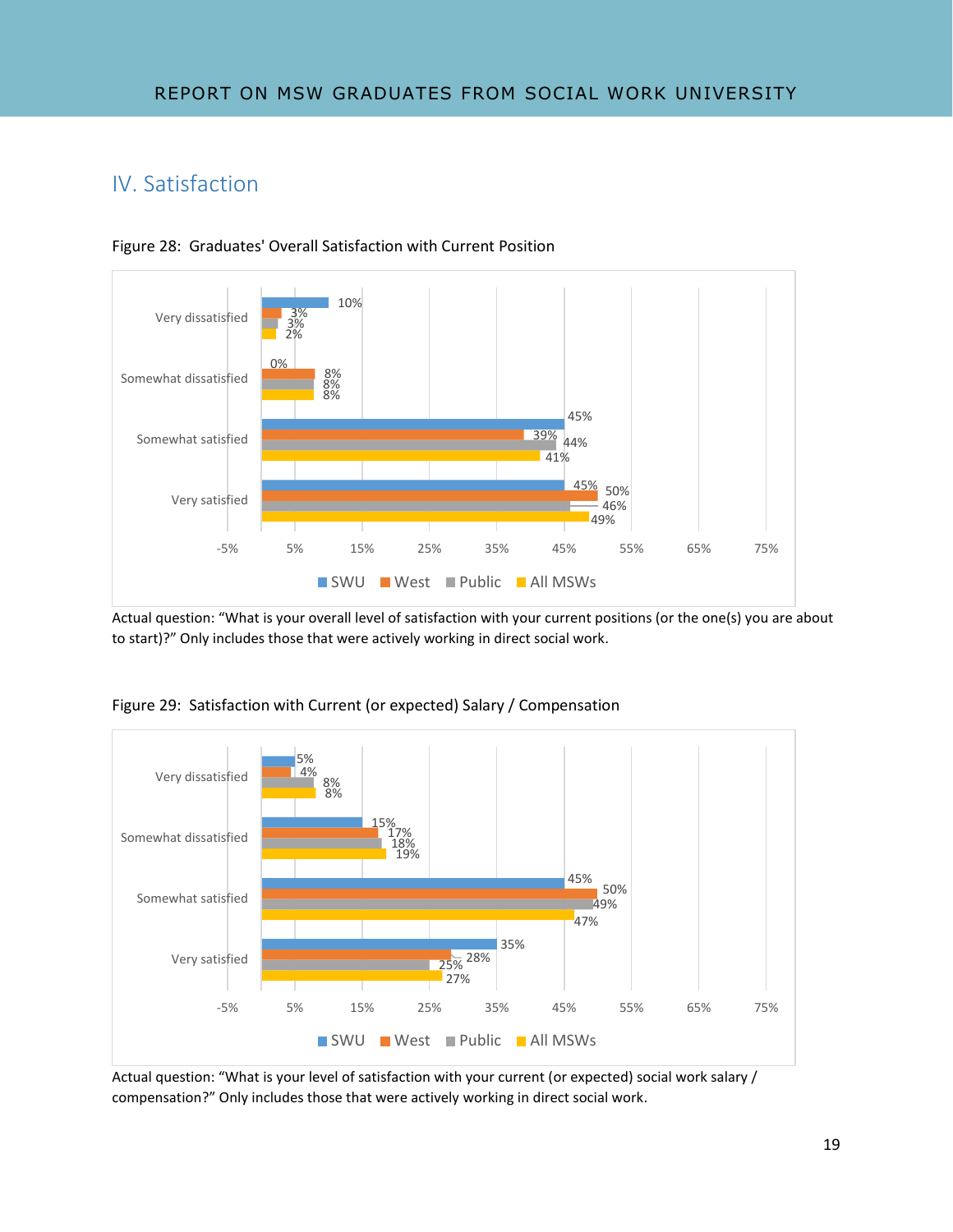# IV. Satisfaction





Actual question: "What is your overall level of satisfaction with your current positions (or the one(s) you are about to start)?" Only includes those that were actively working in direct social work.



Figure 29: Satisfaction with Current (or expected) Salary / Compensation

Actual question: "What is your level of satisfaction with your current (or expected) social work salary / compensation?" Only includes those that were actively working in direct social work.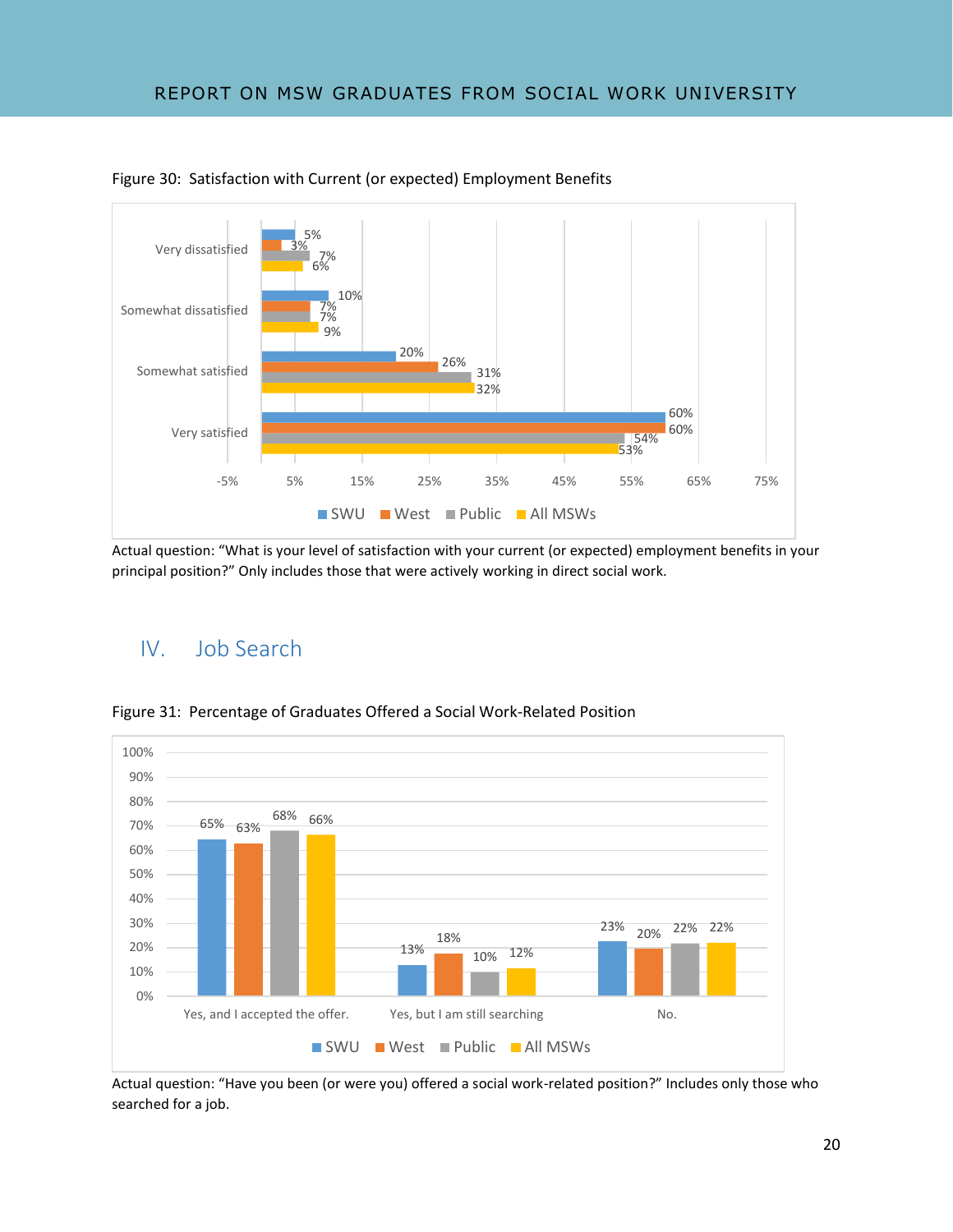

Figure 30: Satisfaction with Current (or expected) Employment Benefits

Actual question: "What is your level of satisfaction with your current (or expected) employment benefits in your principal position?" Only includes those that were actively working in direct social work.

## IV. Job Search



Figure 31: Percentage of Graduates Offered a Social Work-Related Position

Actual question: "Have you been (or were you) offered a social work-related position?" Includes only those who searched for a job.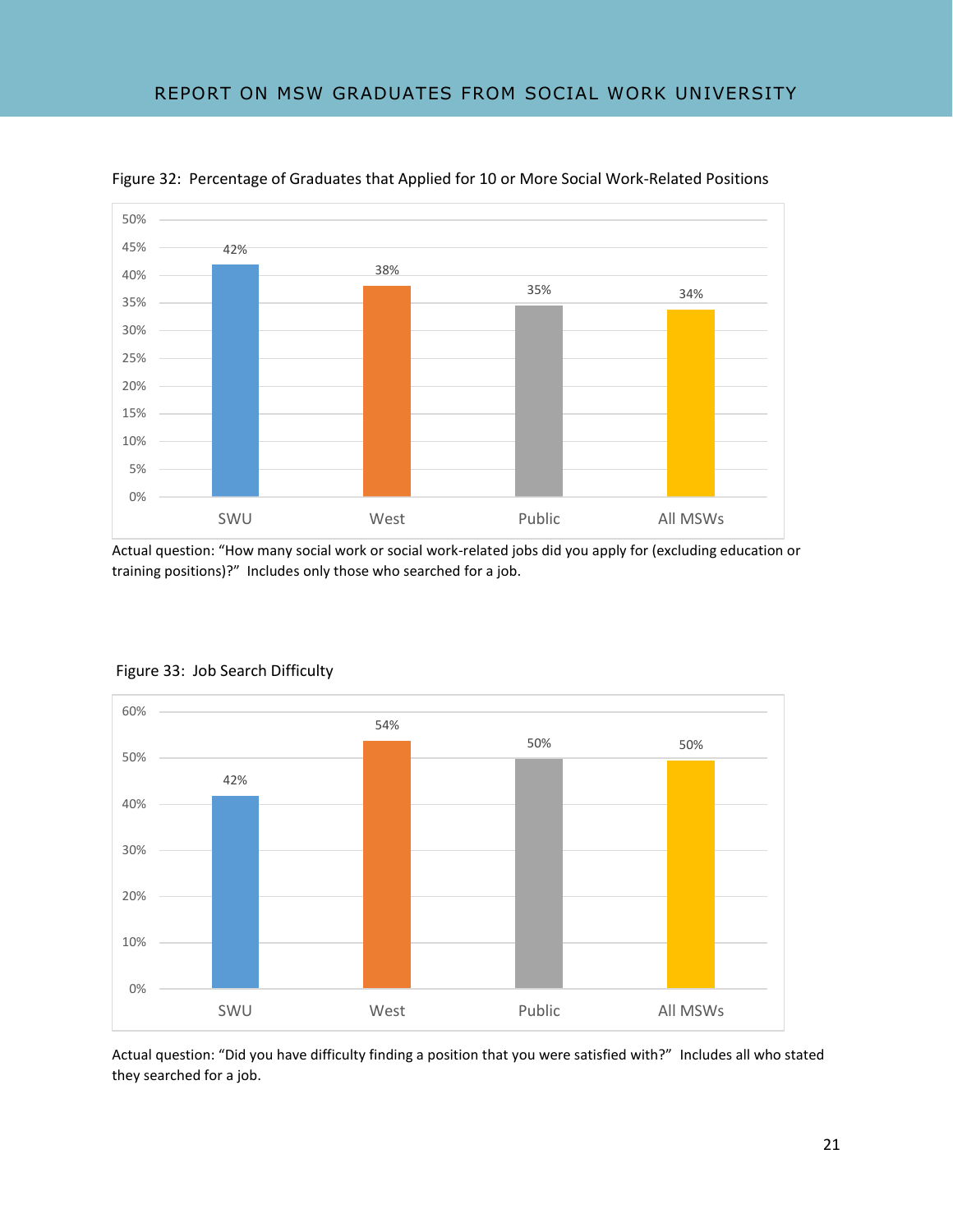

Figure 32: Percentage of Graduates that Applied for 10 or More Social Work-Related Positions

Actual question: "How many social work or social work-related jobs did you apply for (excluding education or training positions)?" Includes only those who searched for a job.



#### Figure 33: Job Search Difficulty

Actual question: "Did you have difficulty finding a position that you were satisfied with?" Includes all who stated they searched for a job.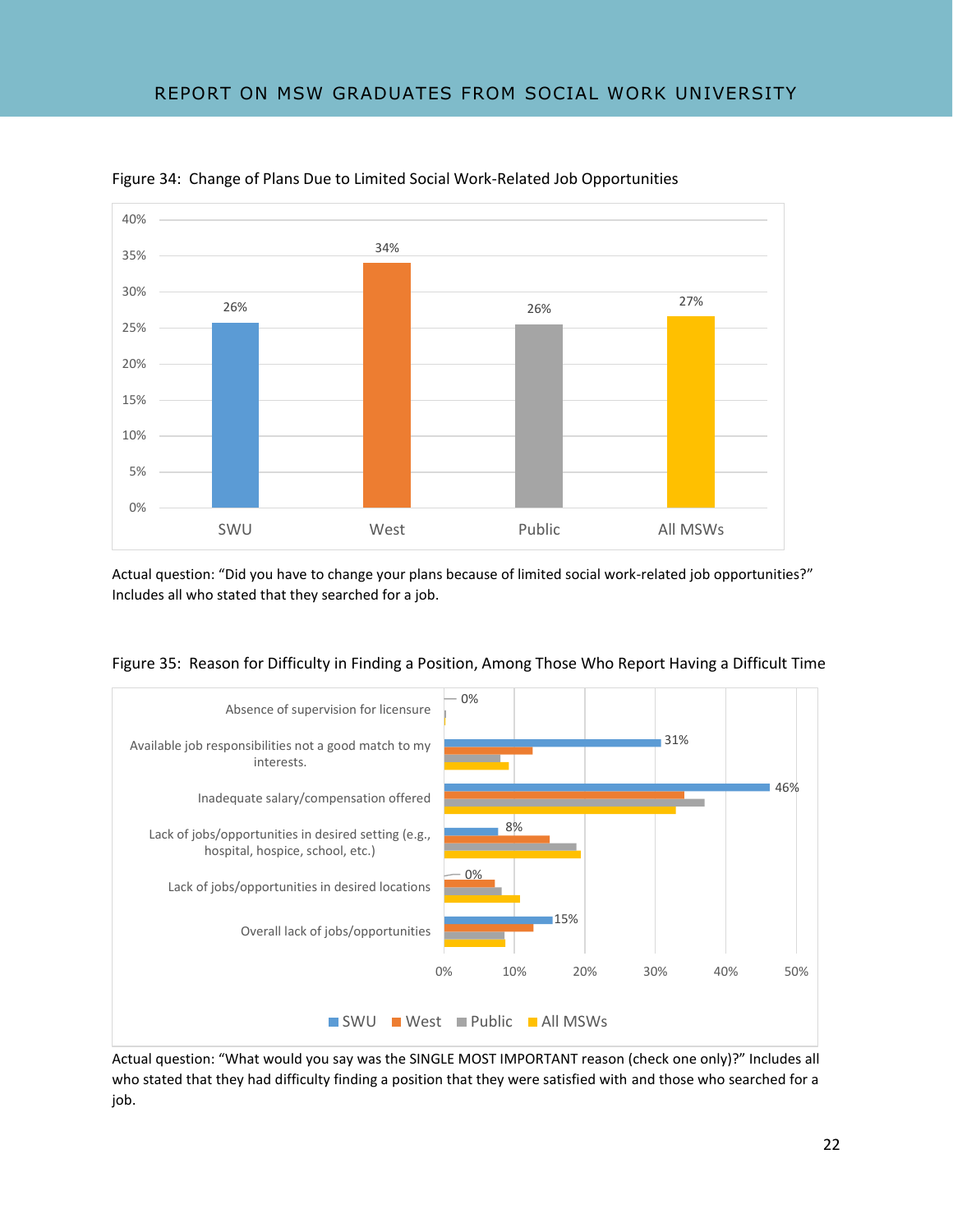

Figure 34: Change of Plans Due to Limited Social Work-Related Job Opportunities

Actual question: "Did you have to change your plans because of limited social work-related job opportunities?" Includes all who stated that they searched for a job.





Actual question: "What would you say was the SINGLE MOST IMPORTANT reason (check one only)?" Includes all who stated that they had difficulty finding a position that they were satisfied with and those who searched for a job.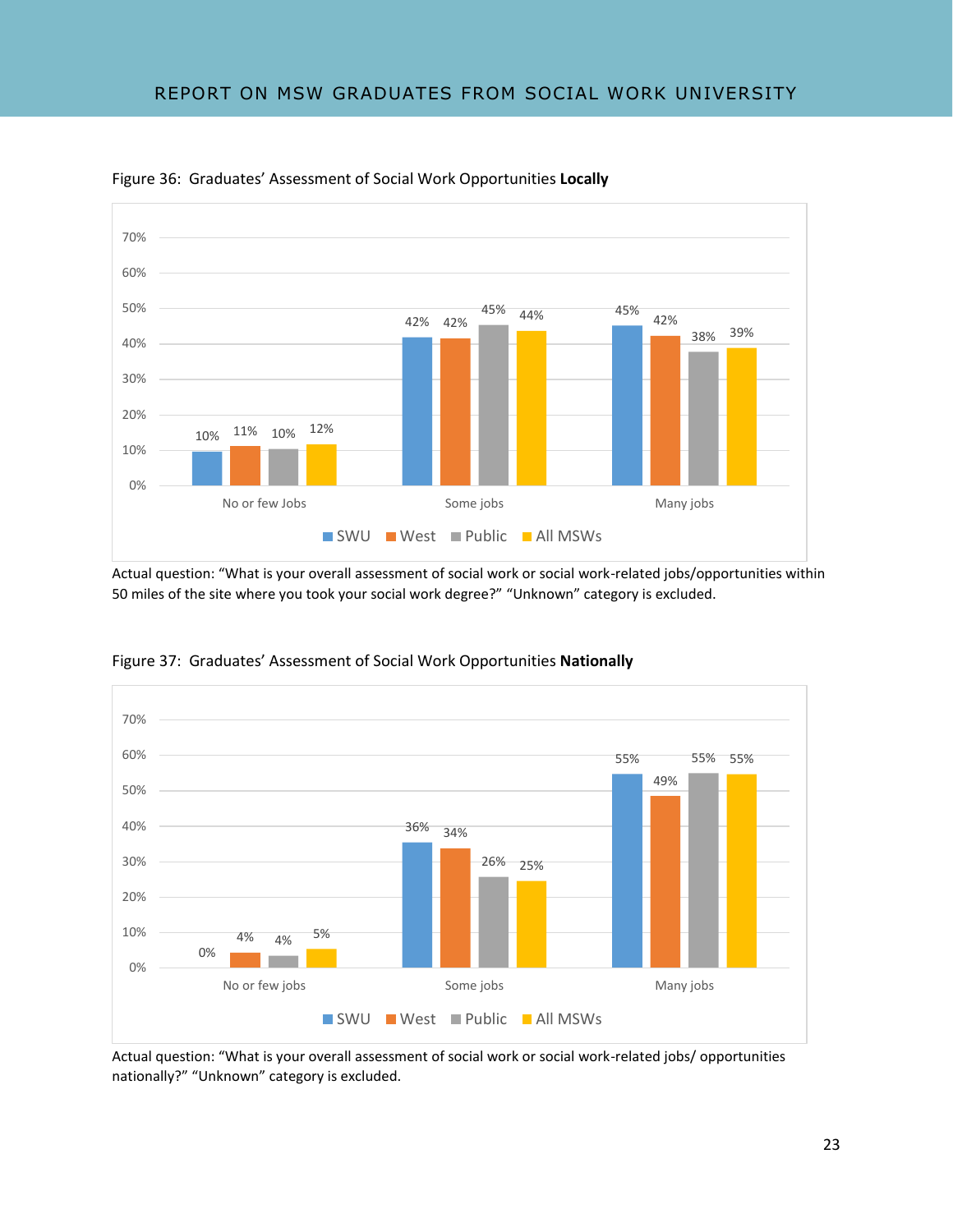

Figure 36: Graduates' Assessment of Social Work Opportunities **Locally**

Actual question: "What is your overall assessment of social work or social work-related jobs/opportunities within 50 miles of the site where you took your social work degree?" "Unknown" category is excluded.



Figure 37: Graduates' Assessment of Social Work Opportunities **Nationally**

Actual question: "What is your overall assessment of social work or social work-related jobs/ opportunities nationally?" "Unknown" category is excluded.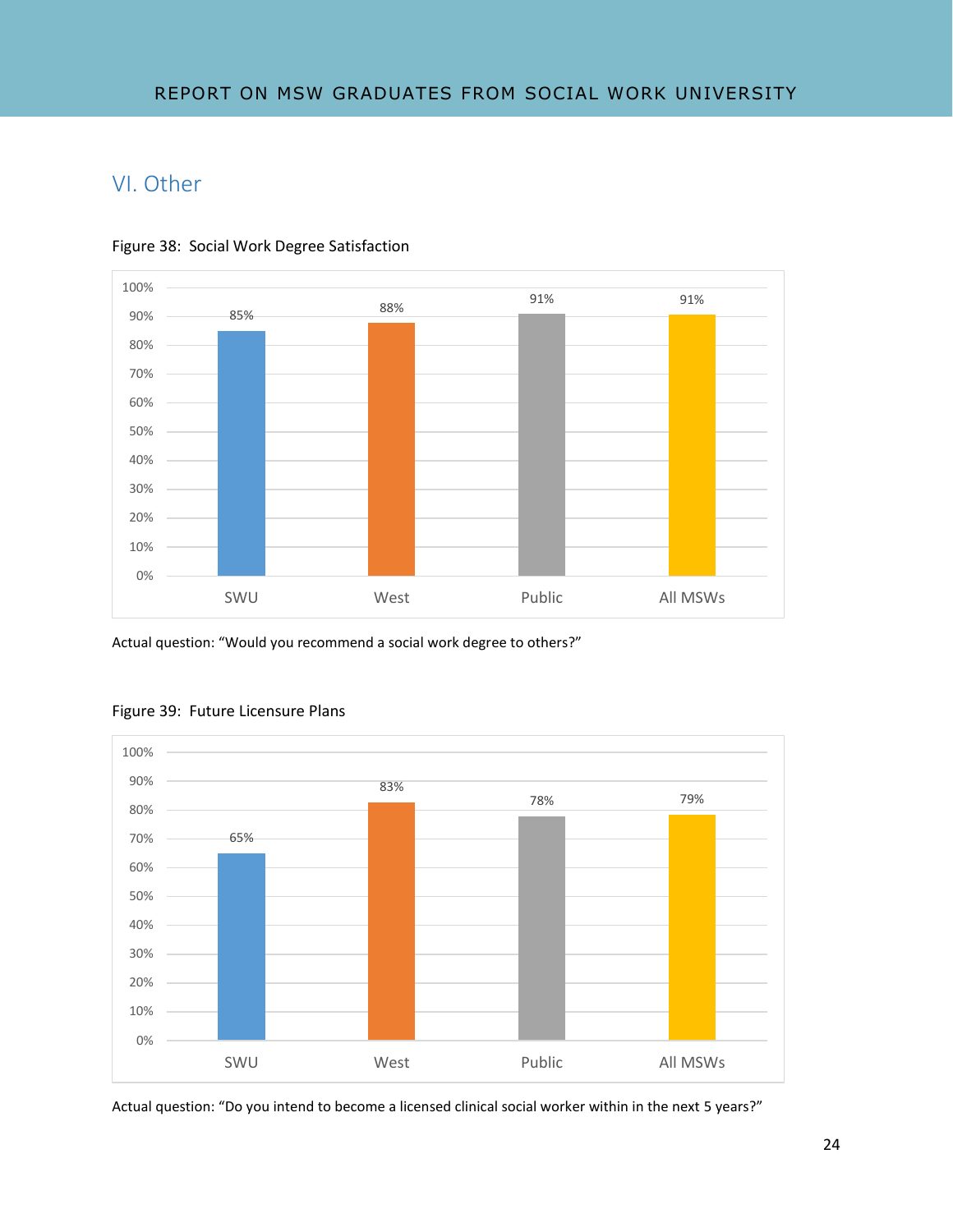# VI. Other



Figure 38: Social Work Degree Satisfaction

Actual question: "Would you recommend a social work degree to others?"



#### Figure 39: Future Licensure Plans

Actual question: "Do you intend to become a licensed clinical social worker within in the next 5 years?"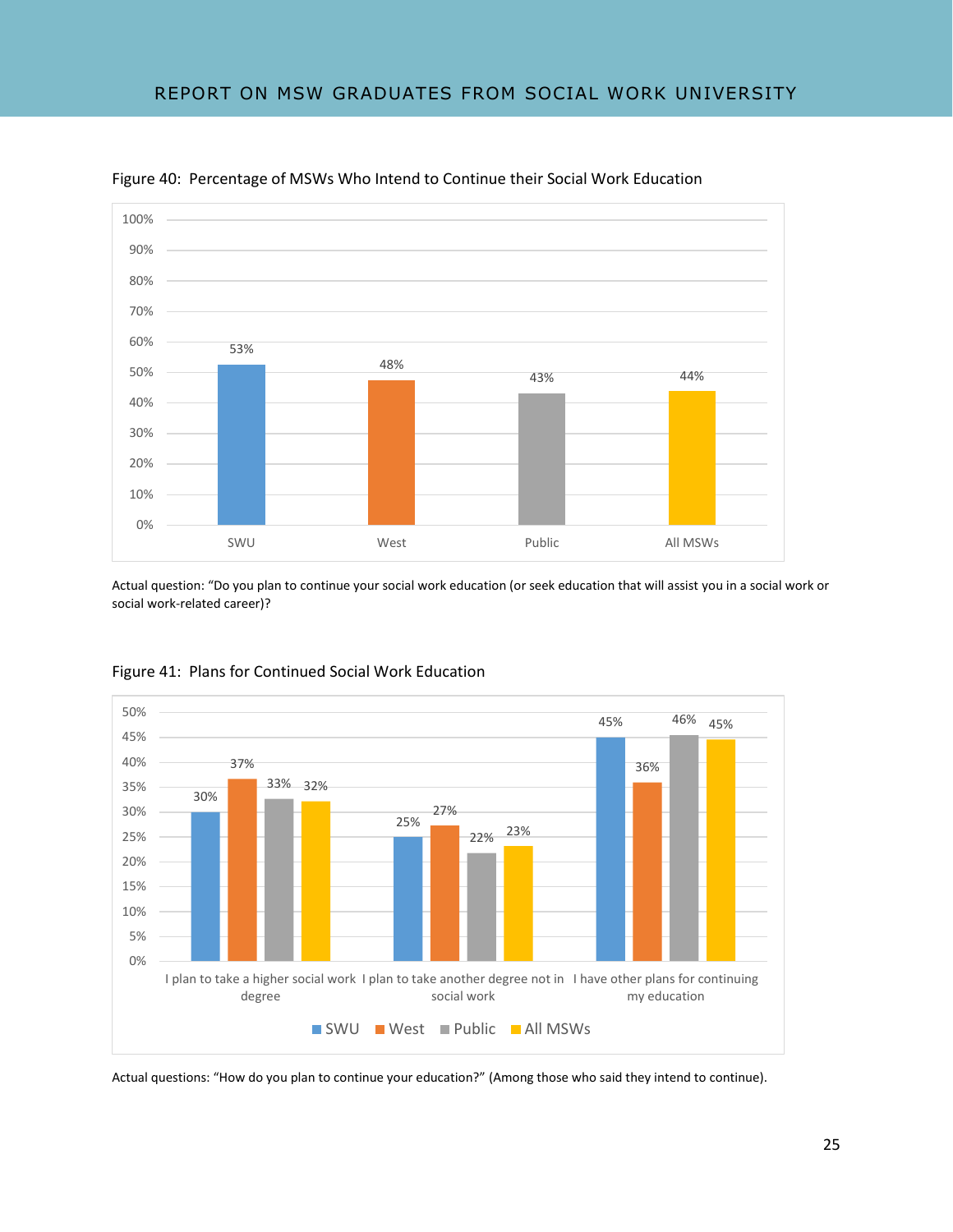

Figure 40: Percentage of MSWs Who Intend to Continue their Social Work Education

Actual question: "Do you plan to continue your social work education (or seek education that will assist you in a social work or social work-related career)?



Figure 41: Plans for Continued Social Work Education

Actual questions: "How do you plan to continue your education?" (Among those who said they intend to continue).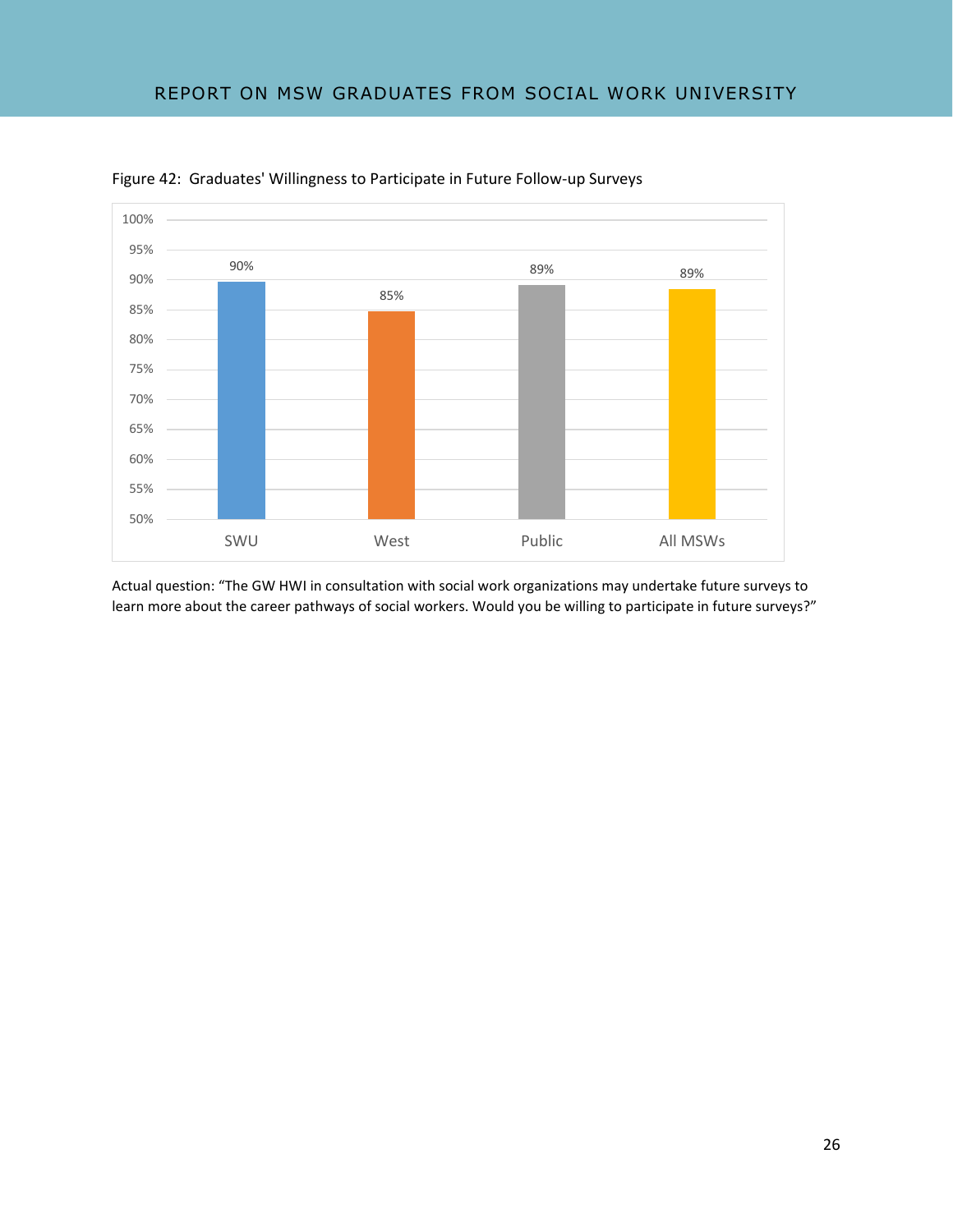

Figure 42: Graduates' Willingness to Participate in Future Follow-up Surveys

Actual question: "The GW HWI in consultation with social work organizations may undertake future surveys to learn more about the career pathways of social workers. Would you be willing to participate in future surveys?"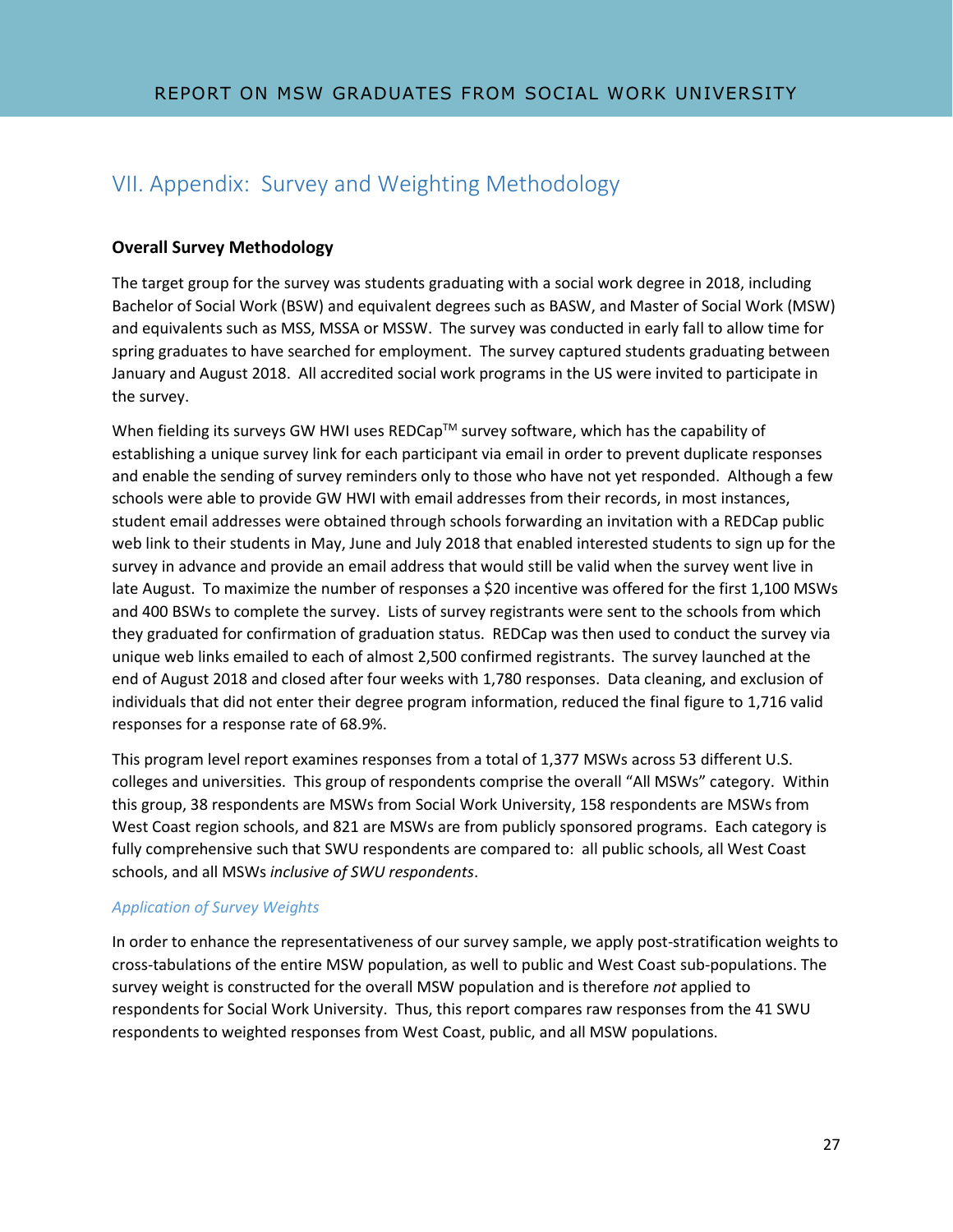# VII. Appendix: Survey and Weighting Methodology

### **Overall Survey Methodology**

The target group for the survey was students graduating with a social work degree in 2018, including Bachelor of Social Work (BSW) and equivalent degrees such as BASW, and Master of Social Work (MSW) and equivalents such as MSS, MSSA or MSSW. The survey was conducted in early fall to allow time for spring graduates to have searched for employment. The survey captured students graduating between January and August 2018. All accredited social work programs in the US were invited to participate in the survey.

When fielding its surveys GW HWI uses  $REDCap^{TM}$  survey software, which has the capability of establishing a unique survey link for each participant via email in order to prevent duplicate responses and enable the sending of survey reminders only to those who have not yet responded. Although a few schools were able to provide GW HWI with email addresses from their records, in most instances, student email addresses were obtained through schools forwarding an invitation with a REDCap public web link to their students in May, June and July 2018 that enabled interested students to sign up for the survey in advance and provide an email address that would still be valid when the survey went live in late August. To maximize the number of responses a \$20 incentive was offered for the first 1,100 MSWs and 400 BSWs to complete the survey. Lists of survey registrants were sent to the schools from which they graduated for confirmation of graduation status. REDCap was then used to conduct the survey via unique web links emailed to each of almost 2,500 confirmed registrants. The survey launched at the end of August 2018 and closed after four weeks with 1,780 responses. Data cleaning, and exclusion of individuals that did not enter their degree program information, reduced the final figure to 1,716 valid responses for a response rate of 68.9%.

This program level report examines responses from a total of 1,377 MSWs across 53 different U.S. colleges and universities. This group of respondents comprise the overall "All MSWs" category. Within this group, 38 respondents are MSWs from Social Work University, 158 respondents are MSWs from West Coast region schools, and 821 are MSWs are from publicly sponsored programs. Each category is fully comprehensive such that SWU respondents are compared to: all public schools, all West Coast schools, and all MSWs *inclusive of SWU respondents*.

### *Application of Survey Weights*

In order to enhance the representativeness of our survey sample, we apply post-stratification weights to cross-tabulations of the entire MSW population, as well to public and West Coast sub-populations. The survey weight is constructed for the overall MSW population and is therefore *not* applied to respondents for Social Work University. Thus, this report compares raw responses from the 41 SWU respondents to weighted responses from West Coast, public, and all MSW populations.